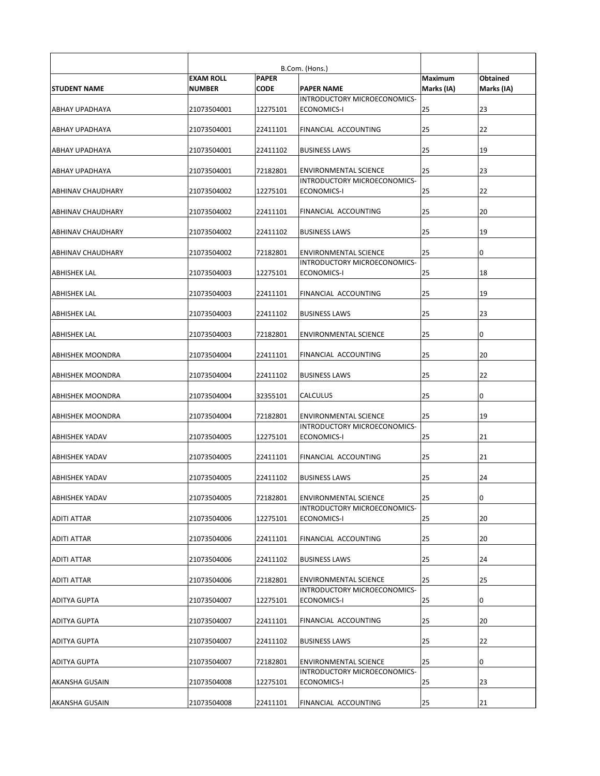|                          | <b>EXAM ROLL</b> | <b>PAPER</b> |                                                              | <b>Maximum</b> | Obtained   |
|--------------------------|------------------|--------------|--------------------------------------------------------------|----------------|------------|
| <b>STUDENT NAME</b>      | <b>NUMBER</b>    | <b>CODE</b>  | <b>PAPER NAME</b><br>INTRODUCTORY MICROECONOMICS-            | Marks (IA)     | Marks (IA) |
| <b>ABHAY UPADHAYA</b>    | 21073504001      | 12275101     | ECONOMICS-I                                                  | 25             | 23         |
| ABHAY UPADHAYA           | 21073504001      | 22411101     | <b>FINANCIAL ACCOUNTING</b>                                  | 25             | 22         |
| <b>ABHAY UPADHAYA</b>    | 21073504001      | 22411102     | <b>BUSINESS LAWS</b>                                         | 25             | 19         |
| ABHAY UPADHAYA           | 21073504001      | 72182801     | <b>ENVIRONMENTAL SCIENCE</b>                                 | 25             | 23         |
| ABHINAV CHAUDHARY        | 21073504002      | 12275101     | INTRODUCTORY MICROECONOMICS-<br><b>ECONOMICS-I</b>           | 25             | 22         |
| <b>ABHINAV CHAUDHARY</b> | 21073504002      | 22411101     | <b>FINANCIAL ACCOUNTING</b>                                  | 25             | 20         |
| <b>ABHINAV CHAUDHARY</b> | 21073504002      | 22411102     | <b>BUSINESS LAWS</b>                                         | 25             | 19         |
| <b>ABHINAV CHAUDHARY</b> | 21073504002      | 72182801     | <b>ENVIRONMENTAL SCIENCE</b>                                 | 25             | 10         |
| <b>ABHISHEK LAL</b>      | 21073504003      | 12275101     | INTRODUCTORY MICROECONOMICS-<br>ECONOMICS-I                  | 25             | 18         |
| <b>ABHISHEK LAL</b>      | 21073504003      | 22411101     | FINANCIAL ACCOUNTING                                         | 25             | 19         |
| <b>ABHISHEK LAL</b>      | 21073504003      | 22411102     | <b>BUSINESS LAWS</b>                                         | 25             | 23         |
| <b>ABHISHEK LAL</b>      | 21073504003      | 72182801     | <b>ENVIRONMENTAL SCIENCE</b>                                 | 25             | 10         |
| <b>ABHISHEK MOONDRA</b>  | 21073504004      | 22411101     | FINANCIAL ACCOUNTING                                         | 25             | 20         |
| <b>ABHISHEK MOONDRA</b>  | 21073504004      | 22411102     | <b>BUSINESS LAWS</b>                                         | 25             | 22         |
| <b>ABHISHEK MOONDRA</b>  | 21073504004      | 32355101     | <b>CALCULUS</b>                                              | 25             | 10         |
| <b>ABHISHEK MOONDRA</b>  | 21073504004      | 72182801     | <b>ENVIRONMENTAL SCIENCE</b>                                 | 25             | 19         |
| <b>ABHISHEK YADAV</b>    | 21073504005      | 12275101     | INTRODUCTORY MICROECONOMICS-<br><b>ECONOMICS-I</b>           | 25             | 21         |
| <b>ABHISHEK YADAV</b>    | 21073504005      | 22411101     | FINANCIAL ACCOUNTING                                         | 25             | 21         |
| <b>ABHISHEK YADAV</b>    | 21073504005      | 22411102     | <b>BUSINESS LAWS</b>                                         | 25             | 24         |
| <b>ABHISHEK YADAV</b>    | 21073504005      | 72182801     | <b>ENVIRONMENTAL SCIENCE</b>                                 | 25             | 10         |
| <b>ADITI ATTAR</b>       | 21073504006      | 12275101     | INTRODUCTORY MICROECONOMICS-<br>ECONOMICS-I                  | 25             | 20         |
| <b>ADITI ATTAR</b>       | 21073504006      | 22411101     | FINANCIAL ACCOUNTING                                         | 25             | 20         |
| <b>ADITI ATTAR</b>       | 21073504006      | 22411102     | <b>BUSINESS LAWS</b>                                         | 25             | 24         |
| <b>ADITI ATTAR</b>       | 21073504006      | 72182801     | <b>ENVIRONMENTAL SCIENCE</b><br>INTRODUCTORY MICROECONOMICS- | 25             | 25         |
| <b>ADITYA GUPTA</b>      | 21073504007      | 12275101     | <b>ECONOMICS-I</b>                                           | 25             | 10         |
| <b>ADITYA GUPTA</b>      | 21073504007      | 22411101     | FINANCIAL ACCOUNTING                                         | 25             | 20         |
| <b>ADITYA GUPTA</b>      | 21073504007      | 22411102     | <b>BUSINESS LAWS</b>                                         | 25             | 22         |
| <b>ADITYA GUPTA</b>      | 21073504007      | 72182801     | <b>ENVIRONMENTAL SCIENCE</b>                                 | 25             | 10         |
| <b>AKANSHA GUSAIN</b>    | 21073504008      | 12275101     | INTRODUCTORY MICROECONOMICS-<br>ECONOMICS-I                  | 25             | 23         |
| <b>AKANSHA GUSAIN</b>    | 21073504008      | 22411101     | <b>FINANCIAL ACCOUNTING</b>                                  | 25             | 21         |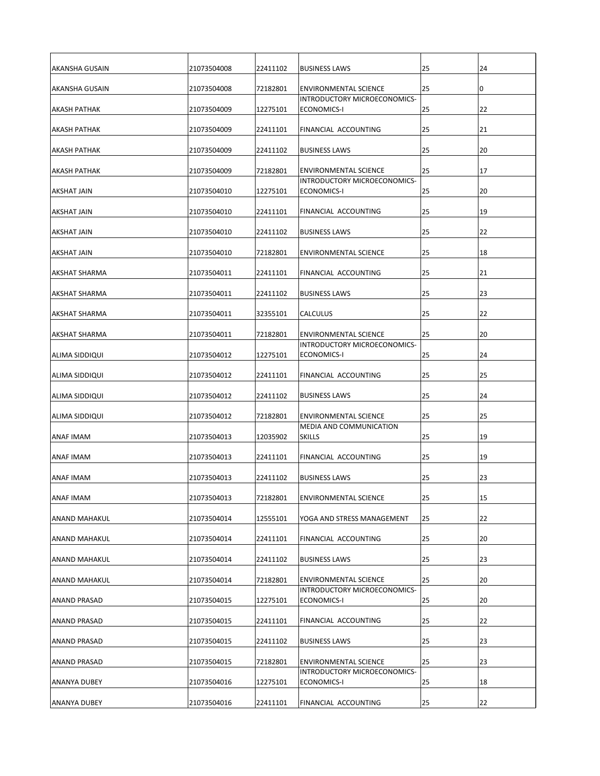| <b>AKANSHA GUSAIN</b> | 21073504008 | 22411102 | <b>BUSINESS LAWS</b>                                                | 25 | 24 |
|-----------------------|-------------|----------|---------------------------------------------------------------------|----|----|
| AKANSHA GUSAIN        | 21073504008 | 72182801 | <b>ENVIRONMENTAL SCIENCE</b>                                        | 25 | 0  |
| <b>AKASH PATHAK</b>   | 21073504009 | 12275101 | INTRODUCTORY MICROECONOMICS-<br>ECONOMICS-I                         | 25 | 22 |
| <b>АКАSH PATHAK</b>   | 21073504009 | 22411101 | <b>FINANCIAL ACCOUNTING</b>                                         | 25 | 21 |
| <b>AKASH PATHAK</b>   | 21073504009 | 22411102 | <b>BUSINESS LAWS</b>                                                | 25 | 20 |
| <b>AKASH PATHAK</b>   | 21073504009 | 72182801 | <b>ENVIRONMENTAL SCIENCE</b><br><b>INTRODUCTORY MICROECONOMICS-</b> | 25 | 17 |
| <b>AKSHAT JAIN</b>    | 21073504010 | 12275101 | ECONOMICS-I                                                         | 25 | 20 |
| <b>AKSHAT JAIN</b>    | 21073504010 | 22411101 | <b>FINANCIAL ACCOUNTING</b>                                         | 25 | 19 |
| <b>AKSHAT JAIN</b>    | 21073504010 | 22411102 | <b>BUSINESS LAWS</b>                                                | 25 | 22 |
| <b>AKSHAT JAIN</b>    | 21073504010 | 72182801 | ENVIRONMENTAL SCIENCE                                               | 25 | 18 |
| <b>AKSHAT SHARMA</b>  | 21073504011 | 22411101 | <b>FINANCIAL ACCOUNTING</b>                                         | 25 | 21 |
| <b>AKSHAT SHARMA</b>  | 21073504011 | 22411102 | <b>BUSINESS LAWS</b>                                                | 25 | 23 |
| <b>AKSHAT SHARMA</b>  | 21073504011 | 32355101 | <b>CALCULUS</b>                                                     | 25 | 22 |
| <b>AKSHAT SHARMA</b>  | 21073504011 | 72182801 | <b>ENVIRONMENTAL SCIENCE</b>                                        | 25 | 20 |
| <b>ALIMA SIDDIQUI</b> | 21073504012 | 12275101 | INTRODUCTORY MICROECONOMICS-<br>ECONOMICS-I                         | 25 | 24 |
| <b>ALIMA SIDDIQUI</b> | 21073504012 | 22411101 | <b>FINANCIAL ACCOUNTING</b>                                         | 25 | 25 |
| <b>ALIMA SIDDIQUI</b> | 21073504012 | 22411102 | <b>BUSINESS LAWS</b>                                                | 25 | 24 |
| <b>ALIMA SIDDIQUI</b> | 21073504012 | 72182801 | <b>ENVIRONMENTAL SCIENCE</b>                                        | 25 | 25 |
| <b>ANAF IMAM</b>      | 21073504013 | 12035902 | MEDIA AND COMMUNICATION<br><b>SKILLS</b>                            | 25 | 19 |
| <b>ANAF IMAM</b>      | 21073504013 | 22411101 | FINANCIAL ACCOUNTING                                                | 25 | 19 |
| <b>ANAF IMAM</b>      | 21073504013 | 22411102 | <b>BUSINESS LAWS</b>                                                | 25 | 23 |
| <b>ANAF IMAM</b>      | 21073504013 | 72182801 | <b>ENVIRONMENTAL SCIENCE</b>                                        | 25 | 15 |
| <b>ANAND MAHAKUL</b>  | 21073504014 | 12555101 | YOGA AND STRESS MANAGEMENT                                          | 25 | 22 |
| <b>ANAND MAHAKUL</b>  | 21073504014 | 22411101 | FINANCIAL ACCOUNTING                                                | 25 | 20 |
| <b>ANAND MAHAKUL</b>  | 21073504014 | 22411102 | <b>BUSINESS LAWS</b>                                                | 25 | 23 |
| <b>ANAND MAHAKUL</b>  | 21073504014 | 72182801 | <b>ENVIRONMENTAL SCIENCE</b>                                        | 25 | 20 |
| <b>ANAND PRASAD</b>   | 21073504015 | 12275101 | INTRODUCTORY MICROECONOMICS-<br>ECONOMICS-I                         | 25 | 20 |
| <b>ANAND PRASAD</b>   | 21073504015 | 22411101 | FINANCIAL ACCOUNTING                                                | 25 | 22 |
| <b>ANAND PRASAD</b>   | 21073504015 | 22411102 | <b>BUSINESS LAWS</b>                                                | 25 | 23 |
| <b>ANAND PRASAD</b>   | 21073504015 | 72182801 | <b>ENVIRONMENTAL SCIENCE</b>                                        | 25 | 23 |
| <b>ANANYA DUBEY</b>   | 21073504016 | 12275101 | INTRODUCTORY MICROECONOMICS-<br>ECONOMICS-I                         | 25 | 18 |
| <b>ANANYA DUBEY</b>   | 21073504016 | 22411101 | <b>FINANCIAL ACCOUNTING</b>                                         | 25 | 22 |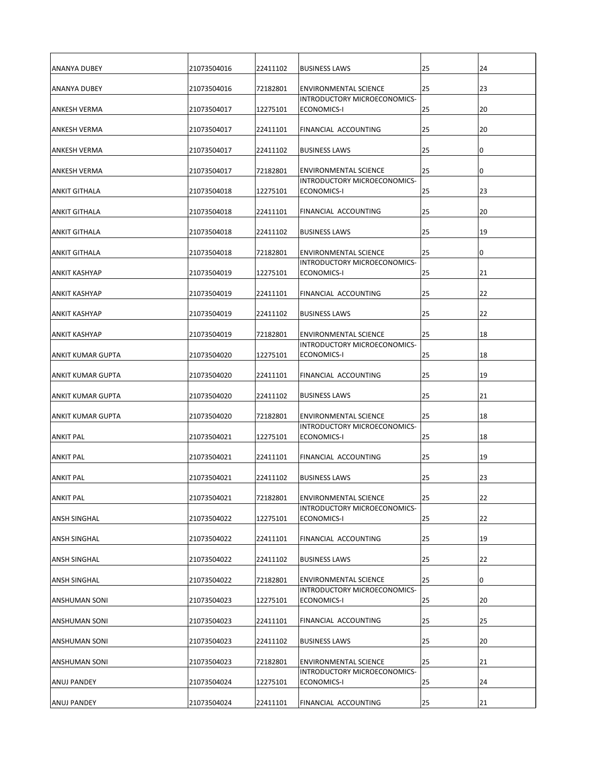| IANANYA DUBEY            | 21073504016 | 22411102 | <b>BUSINESS LAWS</b>                                                | 25 | 24 |
|--------------------------|-------------|----------|---------------------------------------------------------------------|----|----|
| IANANYA DUBEY            | 21073504016 | 72182801 | <b>ENVIRONMENTAL SCIENCE</b>                                        | 25 | 23 |
| <b>JANKESH VERMA</b>     | 21073504017 | 12275101 | INTRODUCTORY MICROECONOMICS-<br>ECONOMICS-I                         | 25 | 20 |
| <b>ANKESH VERMA</b>      | 21073504017 | 22411101 | <b>FINANCIAL ACCOUNTING</b>                                         | 25 | 20 |
|                          |             |          |                                                                     |    |    |
| <b>ANKESH VERMA</b>      | 21073504017 | 22411102 | <b>BUSINESS LAWS</b>                                                | 25 | 10 |
| <b>ANKESH VERMA</b>      | 21073504017 | 72182801 | <b>ENVIRONMENTAL SCIENCE</b><br><b>INTRODUCTORY MICROECONOMICS-</b> | 25 | 10 |
| <b>ANKIT GITHALA</b>     | 21073504018 | 12275101 | ECONOMICS-I                                                         | 25 | 23 |
| <b>ANKIT GITHALA</b>     | 21073504018 | 22411101 | FINANCIAL ACCOUNTING                                                | 25 | 20 |
| <b>ANKIT GITHALA</b>     | 21073504018 | 22411102 | <b>BUSINESS LAWS</b>                                                | 25 | 19 |
| <b>ANKIT GITHALA</b>     | 21073504018 | 72182801 | <b>ENVIRONMENTAL SCIENCE</b>                                        | 25 | 10 |
| <b>ANKIT KASHYAP</b>     | 21073504019 | 12275101 | INTRODUCTORY MICROECONOMICS-<br>ECONOMICS-I                         | 25 | 21 |
| <b>ANKIT KASHYAP</b>     | 21073504019 | 22411101 | FINANCIAL ACCOUNTING                                                | 25 | 22 |
|                          |             |          |                                                                     |    |    |
| <b>ANKIT KASHYAP</b>     | 21073504019 | 22411102 | <b>BUSINESS LAWS</b>                                                | 25 | 22 |
| <b>ANKIT KASHYAP</b>     | 21073504019 | 72182801 | <b>ENVIRONMENTAL SCIENCE</b><br>IINTRODUCTORY MICROECONOMICS-       | 25 | 18 |
| <b>ANKIT KUMAR GUPTA</b> | 21073504020 | 12275101 | ECONOMICS-I                                                         | 25 | 18 |
| <b>ANKIT KUMAR GUPTA</b> | 21073504020 | 22411101 | FINANCIAL ACCOUNTING                                                | 25 | 19 |
| <b>ANKIT KUMAR GUPTA</b> | 21073504020 | 22411102 | <b>BUSINESS LAWS</b>                                                | 25 | 21 |
| ANKIT KUMAR GUPTA        | 21073504020 | 72182801 | <b>ENVIRONMENTAL SCIENCE</b>                                        | 25 | 18 |
| <b>ANKIT PAL</b>         | 21073504021 | 12275101 | INTRODUCTORY MICROECONOMICS-<br>ECONOMICS-I                         | 25 | 18 |
| <b>ANKIT PAL</b>         | 21073504021 | 22411101 | FINANCIAL ACCOUNTING                                                | 25 | 19 |
| <b>ANKIT PAL</b>         | 21073504021 | 22411102 | <b>BUSINESS LAWS</b>                                                | 25 | 23 |
| <b>ANKIT PAL</b>         | 21073504021 | 72182801 | <b>ENVIRONMENTAL SCIENCE</b>                                        | 25 | 22 |
| <b>ANSH SINGHAL</b>      | 21073504022 | 12275101 | INTRODUCTORY MICROECONOMICS-<br>ECONOMICS-I                         | 25 | 22 |
| <b>ANSH SINGHAL</b>      | 21073504022 | 22411101 | FINANCIAL ACCOUNTING                                                | 25 | 19 |
| <b>ANSH SINGHAL</b>      | 21073504022 | 22411102 | <b>BUSINESS LAWS</b>                                                | 25 | 22 |
| <b>ANSH SINGHAL</b>      | 21073504022 | 72182801 | <b>ENVIRONMENTAL SCIENCE</b>                                        | 25 | 10 |
| <b>ANSHUMAN SONI</b>     | 21073504023 | 12275101 | INTRODUCTORY MICROECONOMICS-<br>ECONOMICS-I                         | 25 | 20 |
| <b>ANSHUMAN SONI</b>     | 21073504023 | 22411101 | FINANCIAL ACCOUNTING                                                | 25 | 25 |
| <b>ANSHUMAN SONI</b>     | 21073504023 | 22411102 | <b>BUSINESS LAWS</b>                                                | 25 | 20 |
| <b>ANSHUMAN SONI</b>     | 21073504023 | 72182801 | <b>ENVIRONMENTAL SCIENCE</b>                                        | 25 | 21 |
| <b>ANUJ PANDEY</b>       | 21073504024 | 12275101 | INTRODUCTORY MICROECONOMICS-<br>ECONOMICS-I                         | 25 | 24 |
| <b>ANUJ PANDEY</b>       | 21073504024 | 22411101 | <b>FINANCIAL ACCOUNTING</b>                                         | 25 | 21 |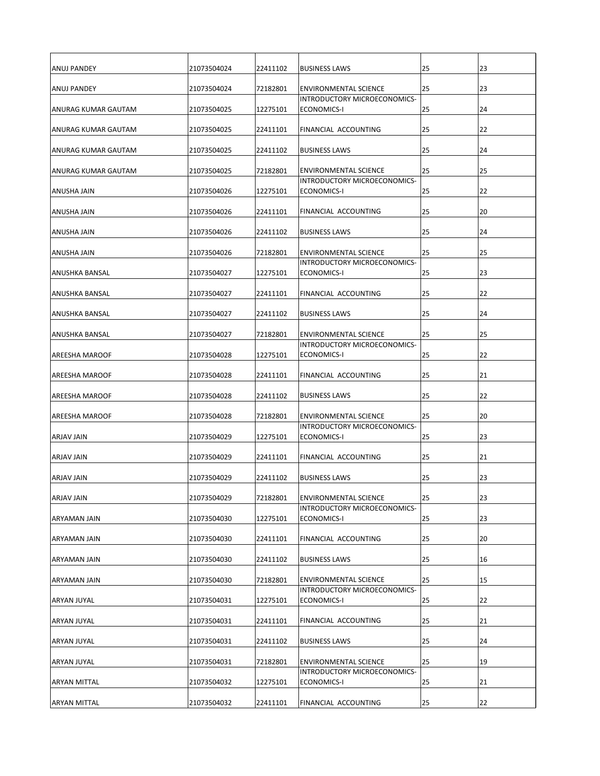| <b>ANUJ PANDEY</b>          | 21073504024 | 22411102 | <b>BUSINESS LAWS</b>                                                | 25 | 23 |
|-----------------------------|-------------|----------|---------------------------------------------------------------------|----|----|
| <b>ANUJ PANDEY</b>          | 21073504024 | 72182801 | <b>ENVIRONMENTAL SCIENCE</b>                                        | 25 | 23 |
|                             |             |          | INTRODUCTORY MICROECONOMICS-                                        |    |    |
| <b>ANURAG KUMAR GAUTAM</b>  | 21073504025 | 12275101 | ECONOMICS-I                                                         | 25 | 24 |
| IANURAG KUMAR GAUTAM        | 21073504025 | 22411101 | <b>FINANCIAL ACCOUNTING</b>                                         | 25 | 22 |
| <b>JANURAG KUMAR GAUTAM</b> | 21073504025 | 22411102 | <b>BUSINESS LAWS</b>                                                | 25 | 24 |
| <b>JANURAG KUMAR GAUTAM</b> | 21073504025 | 72182801 | <b>ENVIRONMENTAL SCIENCE</b><br><b>INTRODUCTORY MICROECONOMICS-</b> | 25 | 25 |
| <b>ANUSHA JAIN</b>          | 21073504026 | 12275101 | ECONOMICS-I                                                         | 25 | 22 |
| <b>ANUSHA JAIN</b>          | 21073504026 | 22411101 | <b>FINANCIAL ACCOUNTING</b>                                         | 25 | 20 |
| <b>ANUSHA JAIN</b>          | 21073504026 | 22411102 | <b>BUSINESS LAWS</b>                                                | 25 | 24 |
| <b>ANUSHA JAIN</b>          | 21073504026 | 72182801 | <b>ENVIRONMENTAL SCIENCE</b>                                        | 25 | 25 |
| <b>ANUSHKA BANSAL</b>       | 21073504027 | 12275101 | INTRODUCTORY MICROECONOMICS-<br>ECONOMICS-I                         | 25 | 23 |
| ANUSHKA BANSAL              | 21073504027 | 22411101 | FINANCIAL ACCOUNTING                                                | 25 | 22 |
| <b>ANUSHKA BANSAL</b>       | 21073504027 | 22411102 | <b>BUSINESS LAWS</b>                                                | 25 | 24 |
| <b>ANUSHKA BANSAL</b>       | 21073504027 | 72182801 | <b>ENVIRONMENTAL SCIENCE</b>                                        | 25 | 25 |
| <b>AREESHA MAROOF</b>       | 21073504028 | 12275101 | IINTRODUCTORY MICROECONOMICS-<br>ECONOMICS-I                        | 25 | 22 |
|                             |             |          |                                                                     |    |    |
| <b>AREESHA MAROOF</b>       | 21073504028 | 22411101 | FINANCIAL ACCOUNTING                                                | 25 | 21 |
| <b>AREESHA MAROOF</b>       | 21073504028 | 22411102 | <b>BUSINESS LAWS</b>                                                | 25 | 22 |
| <b>AREESHA MAROOF</b>       | 21073504028 | 72182801 | IENVIRONMENTAL SCIENCE<br>INTRODUCTORY MICROECONOMICS-              | 25 | 20 |
| ARJAV JAIN                  | 21073504029 | 12275101 | <b>ECONOMICS-I</b>                                                  | 25 | 23 |
| ARJAV JAIN                  | 21073504029 | 22411101 | FINANCIAL ACCOUNTING                                                | 25 | 21 |
| ARJAV JAIN                  | 21073504029 | 22411102 | <b>BUSINESS LAWS</b>                                                | 25 | 23 |
| ARJAV JAIN                  | 21073504029 | 72182801 | <b>ENVIRONMENTAL SCIENCE</b>                                        | 25 | 23 |
| <b>ARYAMAN JAIN</b>         | 21073504030 | 12275101 | INTRODUCTORY MICROECONOMICS-<br>ECONOMICS-I                         | 25 | 23 |
| ARYAMAN JAIN                | 21073504030 | 22411101 | FINANCIAL ACCOUNTING                                                | 25 | 20 |
| ARYAMAN JAIN                | 21073504030 | 22411102 | <b>BUSINESS LAWS</b>                                                | 25 | 16 |
| <b>ARYAMAN JAIN</b>         | 21073504030 | 72182801 | <b>ENVIRONMENTAL SCIENCE</b>                                        | 25 | 15 |
| <b>ARYAN JUYAL</b>          | 21073504031 | 12275101 | INTRODUCTORY MICROECONOMICS-<br>ECONOMICS-I                         | 25 | 22 |
| <b>ARYAN JUYAL</b>          | 21073504031 | 22411101 | FINANCIAL ACCOUNTING                                                | 25 | 21 |
| <b>ARYAN JUYAL</b>          | 21073504031 | 22411102 | <b>BUSINESS LAWS</b>                                                | 25 | 24 |
| ARYAN JUYAL                 | 21073504031 | 72182801 | <b>ENVIRONMENTAL SCIENCE</b>                                        | 25 | 19 |
| <b>ARYAN MITTAL</b>         | 21073504032 | 12275101 | INTRODUCTORY MICROECONOMICS-<br>ECONOMICS-I                         | 25 | 21 |
| <b>ARYAN MITTAL</b>         | 21073504032 | 22411101 | <b>FINANCIAL ACCOUNTING</b>                                         | 25 | 22 |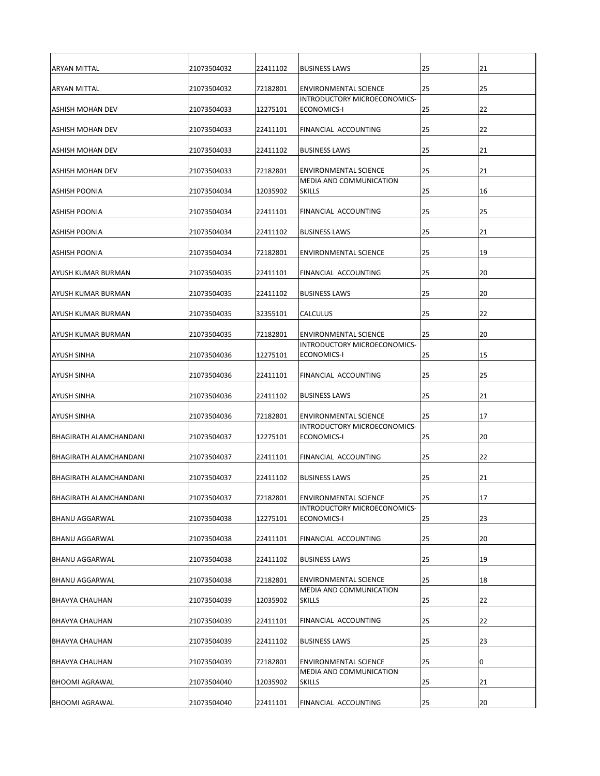| <b>ARYAN MITTAL</b>           | 21073504032 | 22411102 | <b>BUSINESS LAWS</b>                                          | 25 | 21 |
|-------------------------------|-------------|----------|---------------------------------------------------------------|----|----|
| <b>ARYAN MITTAL</b>           | 21073504032 | 72182801 | <b>ENVIRONMENTAL SCIENCE</b>                                  | 25 | 25 |
| <b>ASHISH MOHAN DEV</b>       | 21073504033 | 12275101 | INTRODUCTORY MICROECONOMICS-<br>ECONOMICS-I                   | 25 | 22 |
| ASHISH MOHAN DEV              | 21073504033 | 22411101 | <b>FINANCIAL ACCOUNTING</b>                                   | 25 | 22 |
|                               |             |          |                                                               |    |    |
| ASHISH MOHAN DEV              | 21073504033 | 22411102 | <b>BUSINESS LAWS</b>                                          | 25 | 21 |
| <b>ASHISH MOHAN DEV</b>       | 21073504033 | 72182801 | <b>ENVIRONMENTAL SCIENCE</b><br>MEDIA AND COMMUNICATION       | 25 | 21 |
| IASHISH POONIA                | 21073504034 | 12035902 | <b>SKILLS</b>                                                 | 25 | 16 |
| IASHISH POONIA                | 21073504034 | 22411101 | <b>FINANCIAL ACCOUNTING</b>                                   | 25 | 25 |
| <b>ASHISH POONIA</b>          | 21073504034 | 22411102 | <b>BUSINESS LAWS</b>                                          | 25 | 21 |
| <b>ASHISH POONIA</b>          | 21073504034 | 72182801 | ENVIRONMENTAL SCIENCE                                         | 25 | 19 |
| AYUSH KUMAR BURMAN            | 21073504035 | 22411101 | <b>FINANCIAL ACCOUNTING</b>                                   | 25 | 20 |
| <b>AYUSH KUMAR BURMAN</b>     | 21073504035 | 22411102 | <b>BUSINESS LAWS</b>                                          | 25 | 20 |
| <b>AYUSH KUMAR BURMAN</b>     | 21073504035 | 32355101 | <b>CALCULUS</b>                                               | 25 | 22 |
| IAYUSH KUMAR BURMAN           | 21073504035 | 72182801 | <b>ENVIRONMENTAL SCIENCE</b><br>IINTRODUCTORY MICROECONOMICS- | 25 | 20 |
| IAYUSH SINHA                  | 21073504036 | 12275101 | ECONOMICS-I                                                   | 25 | 15 |
| <b>AYUSH SINHA</b>            | 21073504036 | 22411101 | FINANCIAL ACCOUNTING                                          | 25 | 25 |
| <b>AYUSH SINHA</b>            | 21073504036 | 22411102 | <b>BUSINESS LAWS</b>                                          | 25 | 21 |
| IAYUSH SINHA                  | 21073504036 | 72182801 | <b>ENVIRONMENTAL SCIENCE</b>                                  | 25 | 17 |
| <b>BHAGIRATH ALAMCHANDANI</b> | 21073504037 | 12275101 | INTRODUCTORY MICROECONOMICS-<br><b>ECONOMICS-I</b>            | 25 | 20 |
| <b>BHAGIRATH ALAMCHANDANI</b> | 21073504037 | 22411101 | FINANCIAL ACCOUNTING                                          | 25 | 22 |
| <b>BHAGIRATH ALAMCHANDANI</b> | 21073504037 | 22411102 | <b>BUSINESS LAWS</b>                                          | 25 | 21 |
| <b>BHAGIRATH ALAMCHANDANI</b> | 21073504037 | 72182801 | <b>ENVIRONMENTAL SCIENCE</b>                                  | 25 | 17 |
| <b>BHANU AGGARWAL</b>         | 21073504038 | 12275101 | INTRODUCTORY MICROECONOMICS-<br>ECONOMICS-I                   | 25 | 23 |
| <b>BHANU AGGARWAL</b>         | 21073504038 | 22411101 | FINANCIAL ACCOUNTING                                          | 25 | 20 |
| <b>BHANU AGGARWAL</b>         | 21073504038 | 22411102 | <b>BUSINESS LAWS</b>                                          | 25 | 19 |
| <b>BHANU AGGARWAL</b>         | 21073504038 | 72182801 | <b>ENVIRONMENTAL SCIENCE</b>                                  | 25 | 18 |
| BHAVYA CHAUHAN                | 21073504039 | 12035902 | MEDIA AND COMMUNICATION<br><b>SKILLS</b>                      | 25 | 22 |
| <b>BHAVYA CHAUHAN</b>         | 21073504039 | 22411101 | FINANCIAL ACCOUNTING                                          | 25 | 22 |
| <b>BHAVYA CHAUHAN</b>         | 21073504039 | 22411102 | <b>BUSINESS LAWS</b>                                          | 25 | 23 |
| <b>BHAVYA CHAUHAN</b>         | 21073504039 | 72182801 | <b>ENVIRONMENTAL SCIENCE</b>                                  | 25 | 10 |
| <b>BHOOMI AGRAWAL</b>         | 21073504040 | 12035902 | MEDIA AND COMMUNICATION<br><b>SKILLS</b>                      | 25 | 21 |
| <b>BHOOMI AGRAWAL</b>         | 21073504040 | 22411101 | <b>FINANCIAL ACCOUNTING</b>                                   | 25 | 20 |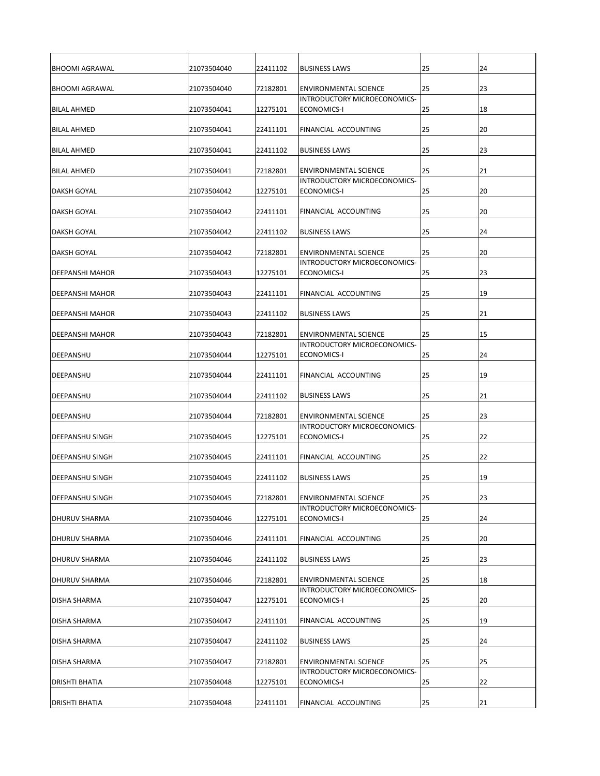| <b>BHOOMI AGRAWAL</b>    | 21073504040 | 22411102 | <b>BUSINESS LAWS</b>                                                | 25 | 24 |
|--------------------------|-------------|----------|---------------------------------------------------------------------|----|----|
| <b>BHOOMI AGRAWAL</b>    | 21073504040 | 72182801 | <b>ENVIRONMENTAL SCIENCE</b>                                        | 25 | 23 |
| <b>BILAL AHMED</b>       | 21073504041 | 12275101 | INTRODUCTORY MICROECONOMICS-<br>ECONOMICS-I                         | 25 | 18 |
|                          |             |          |                                                                     |    |    |
| <b>BILAL AHMED</b>       | 21073504041 | 22411101 | <b>FINANCIAL ACCOUNTING</b>                                         | 25 | 20 |
| <b>BILAL AHMED</b>       | 21073504041 | 22411102 | <b>BUSINESS LAWS</b>                                                | 25 | 23 |
| BILAL AHMED              | 21073504041 | 72182801 | <b>ENVIRONMENTAL SCIENCE</b><br><b>INTRODUCTORY MICROECONOMICS-</b> | 25 | 21 |
| <b>DAKSH GOYAL</b>       | 21073504042 | 12275101 | ECONOMICS-I                                                         | 25 | 20 |
| <b>DAKSH GOYAL</b>       | 21073504042 | 22411101 | <b>FINANCIAL ACCOUNTING</b>                                         | 25 | 20 |
| <b>DAKSH GOYAL</b>       | 21073504042 | 22411102 | <b>BUSINESS LAWS</b>                                                | 25 | 24 |
| <b>DAKSH GOYAL</b>       | 21073504042 | 72182801 | <b>ENVIRONMENTAL SCIENCE</b>                                        | 25 | 20 |
| <b>DEEPANSHI MAHOR</b>   | 21073504043 | 12275101 | INTRODUCTORY MICROECONOMICS-<br>ECONOMICS-I                         | 25 | 23 |
| DEEPANSHI MAHOR          | 21073504043 | 22411101 | FINANCIAL ACCOUNTING                                                | 25 | 19 |
| DEEPANSHI MAHOR          | 21073504043 | 22411102 | <b>BUSINESS LAWS</b>                                                | 25 | 21 |
| DEEPANSHI MAHOR          | 21073504043 | 72182801 | <b>ENVIRONMENTAL SCIENCE</b>                                        | 25 | 15 |
| DEEPANSHU                | 21073504044 | 12275101 | IINTRODUCTORY MICROECONOMICS-<br>ECONOMICS-I                        | 25 | 24 |
| <b>DEEPANSHU</b>         | 21073504044 | 22411101 | FINANCIAL ACCOUNTING                                                | 25 | 19 |
| <b>IDEEPANSHU</b>        | 21073504044 | 22411102 | <b>BUSINESS LAWS</b>                                                | 25 | 21 |
|                          |             |          |                                                                     |    |    |
| <b>DEEPANSHU</b>         | 21073504044 | 72182801 | <b>ENVIRONMENTAL SCIENCE</b><br>INTRODUCTORY MICROECONOMICS-        | 25 | 23 |
| <b>DEEPANSHU SINGH</b>   | 21073504045 | 12275101 | <b>ECONOMICS-I</b>                                                  | 25 | 22 |
| <b>I</b> DEEPANSHU SINGH | 21073504045 | 22411101 | FINANCIAL ACCOUNTING                                                | 25 | 22 |
| <b>DEEPANSHU SINGH</b>   | 21073504045 | 22411102 | <b>BUSINESS LAWS</b>                                                | 25 | 19 |
| <b>IDEEPANSHU SINGH</b>  | 21073504045 | 72182801 | <b>ENVIRONMENTAL SCIENCE</b>                                        | 25 | 23 |
| <b>IDHURUV SHARMA</b>    | 21073504046 | 12275101 | INTRODUCTORY MICROECONOMICS-<br>ECONOMICS-I                         | 25 | 24 |
| <b>IDHURUV SHARMA</b>    | 21073504046 | 22411101 | FINANCIAL ACCOUNTING                                                | 25 | 20 |
| <b>DHURUV SHARMA</b>     | 21073504046 | 22411102 | <b>BUSINESS LAWS</b>                                                | 25 | 23 |
| <b>J</b> DHURUV SHARMA   | 21073504046 | 72182801 | <b>ENVIRONMENTAL SCIENCE</b>                                        | 25 | 18 |
| <b>DISHA SHARMA</b>      | 21073504047 | 12275101 | INTRODUCTORY MICROECONOMICS-<br>ECONOMICS-I                         | 25 | 20 |
| <b>DISHA SHARMA</b>      | 21073504047 | 22411101 | FINANCIAL ACCOUNTING                                                | 25 | 19 |
| <b>DISHA SHARMA</b>      | 21073504047 | 22411102 | <b>BUSINESS LAWS</b>                                                | 25 | 24 |
| <b>DISHA SHARMA</b>      | 21073504047 | 72182801 | <b>ENVIRONMENTAL SCIENCE</b>                                        | 25 | 25 |
| <b>DRISHTI BHATIA</b>    | 21073504048 | 12275101 | INTRODUCTORY MICROECONOMICS-<br>ECONOMICS-I                         | 25 | 22 |
| <b>DRISHTI BHATIA</b>    | 21073504048 | 22411101 | <b>FINANCIAL ACCOUNTING</b>                                         | 25 | 21 |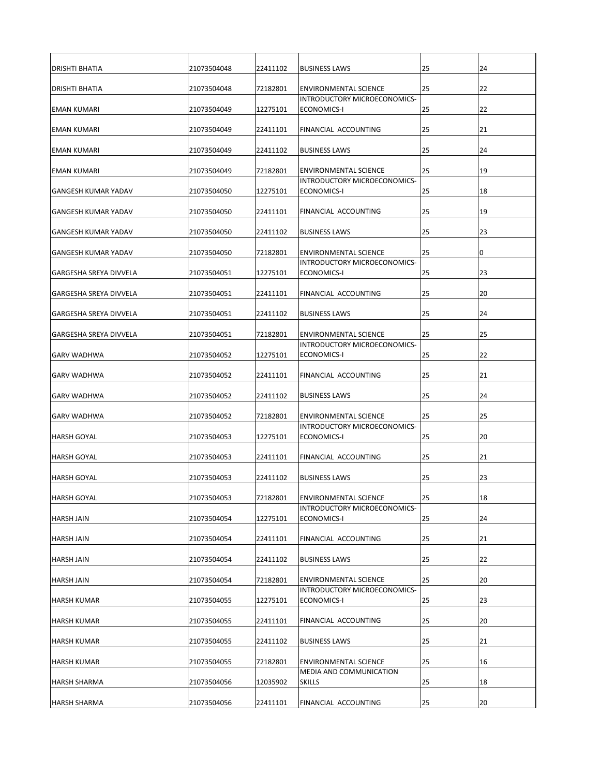| <b>IDRISHTI BHATIA</b>        | 21073504048 | 22411102 | <b>BUSINESS LAWS</b>                                                | 25 | 24 |
|-------------------------------|-------------|----------|---------------------------------------------------------------------|----|----|
| <b>IDRISHTI BHATIA</b>        | 21073504048 | 72182801 | <b>ENVIRONMENTAL SCIENCE</b>                                        | 25 | 22 |
| <b>EMAN KUMARI</b>            | 21073504049 | 12275101 | INTRODUCTORY MICROECONOMICS-<br>ECONOMICS-I                         | 25 | 22 |
| <b>EMAN KUMARI</b>            | 21073504049 | 22411101 | <b>FINANCIAL ACCOUNTING</b>                                         | 25 | 21 |
| <b>EMAN KUMARI</b>            | 21073504049 | 22411102 | <b>BUSINESS LAWS</b>                                                | 25 | 24 |
| <b>EMAN KUMARI</b>            | 21073504049 | 72182801 | <b>ENVIRONMENTAL SCIENCE</b>                                        | 25 | 19 |
|                               |             |          | <b>INTRODUCTORY MICROECONOMICS-</b>                                 |    |    |
| lGANGESH KUMAR YADAV          | 21073504050 | 12275101 | ECONOMICS-I                                                         | 25 | 18 |
| <b>IGANGESH KUMAR YADAV</b>   | 21073504050 | 22411101 | <b>FINANCIAL ACCOUNTING</b>                                         | 25 | 19 |
| IGANGESH KUMAR YADAV          | 21073504050 | 22411102 | <b>BUSINESS LAWS</b>                                                | 25 | 23 |
| <b>GANGESH KUMAR YADAV</b>    | 21073504050 | 72182801 | <b>ENVIRONMENTAL SCIENCE</b>                                        | 25 | 10 |
| <b>GARGESHA SREYA DIVVELA</b> | 21073504051 | 12275101 | INTRODUCTORY MICROECONOMICS-<br>ECONOMICS-I                         | 25 | 23 |
| <b>GARGESHA SREYA DIVVELA</b> | 21073504051 | 22411101 | FINANCIAL ACCOUNTING                                                | 25 | 20 |
| GARGESHA SREYA DIVVELA        | 21073504051 | 22411102 | <b>BUSINESS LAWS</b>                                                | 25 | 24 |
| <b>GARGESHA SREYA DIVVELA</b> | 21073504051 | 72182801 | <b>ENVIRONMENTAL SCIENCE</b><br>IINTRODUCTORY MICROECONOMICS-       | 25 | 25 |
| <b>IGARV WADHWA</b>           | 21073504052 | 12275101 | ECONOMICS-I                                                         | 25 | 22 |
| <b>I</b> GARV WADHWA          | 21073504052 | 22411101 | <b>FINANCIAL ACCOUNTING</b>                                         | 25 | 21 |
| <b>IGARV WADHWA</b>           | 21073504052 | 22411102 | <b>BUSINESS LAWS</b>                                                | 25 | 24 |
| <b>IGARV WADHWA</b>           | 21073504052 | 72182801 | <b>ENVIRONMENTAL SCIENCE</b><br><b>INTRODUCTORY MICROECONOMICS-</b> | 25 | 25 |
| <b>HARSH GOYAL</b>            | 21073504053 | 12275101 | <b>ECONOMICS-I</b>                                                  | 25 | 20 |
| <b>HARSH GOYAL</b>            | 21073504053 | 22411101 | FINANCIAL ACCOUNTING                                                | 25 | 21 |
| <b>HARSH GOYAL</b>            | 21073504053 | 22411102 | <b>BUSINESS LAWS</b>                                                | 25 | 23 |
| <b>HARSH GOYAL</b>            | 21073504053 | 72182801 | <b>ENVIRONMENTAL SCIENCE</b>                                        | 25 | 18 |
| <b>HARSH JAIN</b>             | 21073504054 | 12275101 | INTRODUCTORY MICROECONOMICS-<br>ECONOMICS-I                         | 25 | 24 |
| HARSH JAIN                    | 21073504054 | 22411101 | <b>FINANCIAL ACCOUNTING</b>                                         | 25 | 21 |
| <b>HARSH JAIN</b>             | 21073504054 | 22411102 | <b>BUSINESS LAWS</b>                                                | 25 | 22 |
| <b>HARSH JAIN</b>             | 21073504054 | 72182801 | <b>ENVIRONMENTAL SCIENCE</b>                                        | 25 | 20 |
| <b>HARSH KUMAR</b>            | 21073504055 | 12275101 | INTRODUCTORY MICROECONOMICS-<br>ECONOMICS-I                         | 25 | 23 |
| <b>HARSH KUMAR</b>            | 21073504055 | 22411101 | FINANCIAL ACCOUNTING                                                | 25 | 20 |
| <b>HARSH KUMAR</b>            | 21073504055 | 22411102 | <b>BUSINESS LAWS</b>                                                | 25 | 21 |
| <b>HARSH KUMAR</b>            | 21073504055 | 72182801 | <b>ENVIRONMENTAL SCIENCE</b>                                        | 25 | 16 |
| <b>HARSH SHARMA</b>           | 21073504056 | 12035902 | MEDIA AND COMMUNICATION<br><b>SKILLS</b>                            | 25 | 18 |
| <b>HARSH SHARMA</b>           | 21073504056 | 22411101 | <b>FINANCIAL ACCOUNTING</b>                                         | 25 | 20 |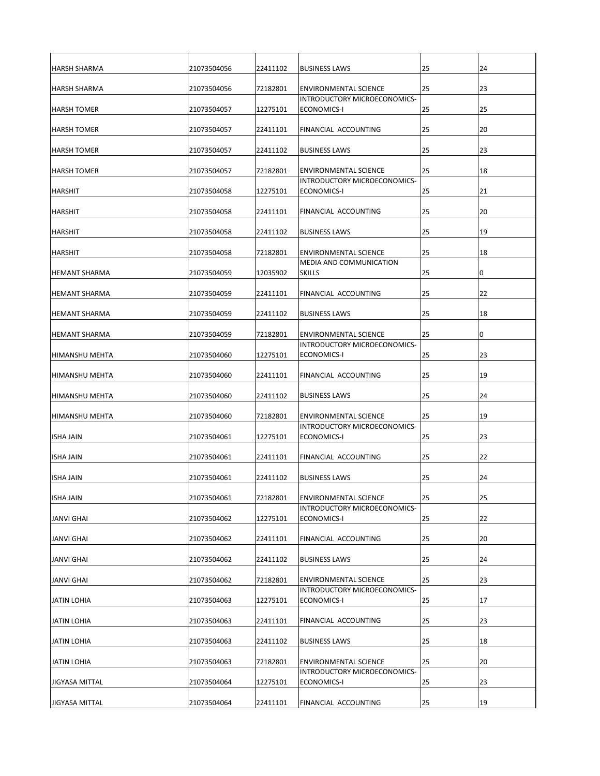| <b>HARSH SHARMA</b>   | 21073504056 | 22411102 | <b>BUSINESS LAWS</b>                                                | 25 | 24 |
|-----------------------|-------------|----------|---------------------------------------------------------------------|----|----|
| IHARSH SHARMA         | 21073504056 | 72182801 | <b>ENVIRONMENTAL SCIENCE</b>                                        | 25 | 23 |
| <b>HARSH TOMER</b>    | 21073504057 | 12275101 | INTRODUCTORY MICROECONOMICS-<br>ECONOMICS-I                         | 25 | 25 |
|                       |             |          |                                                                     |    |    |
| <b>HARSH TOMER</b>    | 21073504057 | 22411101 | <b>FINANCIAL ACCOUNTING</b>                                         | 25 | 20 |
| <b>HARSH TOMER</b>    | 21073504057 | 22411102 | <b>BUSINESS LAWS</b>                                                | 25 | 23 |
| <b>HARSH TOMER</b>    | 21073504057 | 72182801 | <b>ENVIRONMENTAL SCIENCE</b><br><b>INTRODUCTORY MICROECONOMICS-</b> | 25 | 18 |
| <b>HARSHIT</b>        | 21073504058 | 12275101 | ECONOMICS-I                                                         | 25 | 21 |
| <b>HARSHIT</b>        | 21073504058 | 22411101 | <b>FINANCIAL ACCOUNTING</b>                                         | 25 | 20 |
| <b>HARSHIT</b>        | 21073504058 | 22411102 | <b>BUSINESS LAWS</b>                                                | 25 | 19 |
| <b>HARSHIT</b>        | 21073504058 | 72182801 | <b>ENVIRONMENTAL SCIENCE</b>                                        | 25 | 18 |
| <b>HEMANT SHARMA</b>  | 21073504059 | 12035902 | MEDIA AND COMMUNICATION<br><b>SKILLS</b>                            | 25 | 10 |
| <b>HEMANT SHARMA</b>  | 21073504059 | 22411101 | FINANCIAL ACCOUNTING                                                | 25 | 22 |
| <b>HEMANT SHARMA</b>  | 21073504059 | 22411102 | <b>BUSINESS LAWS</b>                                                | 25 | 18 |
| <b>HEMANT SHARMA</b>  | 21073504059 | 72182801 | <b>ENVIRONMENTAL SCIENCE</b>                                        | 25 | 0  |
|                       |             |          | INTRODUCTORY MICROECONOMICS-                                        |    |    |
| HIMANSHU MEHTA        | 21073504060 | 12275101 | ECONOMICS-I                                                         | 25 | 23 |
| <b>HIMANSHU MEHTA</b> | 21073504060 | 22411101 | <b>FINANCIAL ACCOUNTING</b>                                         | 25 | 19 |
| HIMANSHU MEHTA        | 21073504060 | 22411102 | <b>BUSINESS LAWS</b>                                                | 25 | 24 |
| <b>HIMANSHU MEHTA</b> | 21073504060 | 72182801 | <b>ENVIRONMENTAL SCIENCE</b><br>INTRODUCTORY MICROECONOMICS-        | 25 | 19 |
| <b>ISHA JAIN</b>      | 21073504061 | 12275101 | <b>ECONOMICS-I</b>                                                  | 25 | 23 |
| <b>ISHA JAIN</b>      | 21073504061 | 22411101 | FINANCIAL ACCOUNTING                                                | 25 | 22 |
| <b>ISHA JAIN</b>      | 21073504061 | 22411102 | <b>BUSINESS LAWS</b>                                                | 25 | 24 |
| <b>ISHA JAIN</b>      | 21073504061 | 72182801 | <b>ENVIRONMENTAL SCIENCE</b>                                        | 25 | 25 |
| <b>JANVI GHAI</b>     | 21073504062 | 12275101 | INTRODUCTORY MICROECONOMICS-<br>ECONOMICS-I                         | 25 | 22 |
| <b>JANVI GHAI</b>     | 21073504062 | 22411101 | <b>FINANCIAL ACCOUNTING</b>                                         | 25 | 20 |
| <b>JANVI GHAI</b>     | 21073504062 | 22411102 | <b>BUSINESS LAWS</b>                                                | 25 | 24 |
| <b>JANVI GHAI</b>     | 21073504062 | 72182801 | <b>ENVIRONMENTAL SCIENCE</b>                                        | 25 | 23 |
| <b>JATIN LOHIA</b>    | 21073504063 | 12275101 | INTRODUCTORY MICROECONOMICS-<br>ECONOMICS-I                         | 25 | 17 |
| <b>JATIN LOHIA</b>    | 21073504063 | 22411101 | FINANCIAL ACCOUNTING                                                | 25 | 23 |
| <b>JATIN LOHIA</b>    | 21073504063 | 22411102 | <b>BUSINESS LAWS</b>                                                | 25 | 18 |
| <b>JATIN LOHIA</b>    | 21073504063 | 72182801 | <b>ENVIRONMENTAL SCIENCE</b>                                        | 25 | 20 |
| <b>JIGYASA MITTAL</b> | 21073504064 | 12275101 | <b>INTRODUCTORY MICROECONOMICS-</b><br>ECONOMICS-I                  | 25 | 23 |
| <b>JIGYASA MITTAL</b> | 21073504064 | 22411101 | <b>FINANCIAL ACCOUNTING</b>                                         | 25 | 19 |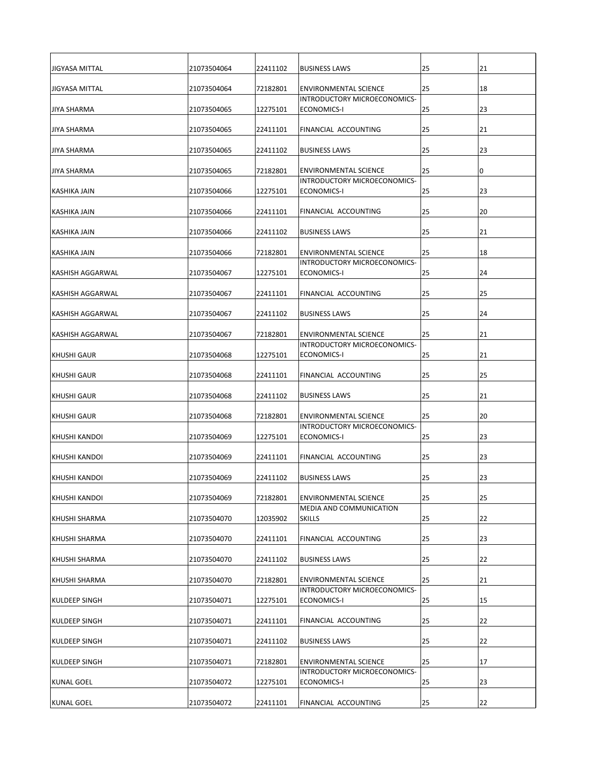| <b>JIGYASA MITTAL</b>   | 21073504064 | 22411102 | <b>BUSINESS LAWS</b>                                                | 25 | 21 |
|-------------------------|-------------|----------|---------------------------------------------------------------------|----|----|
| JIGYASA MITTAL          | 21073504064 | 72182801 | <b>ENVIRONMENTAL SCIENCE</b>                                        | 25 | 18 |
| JIYA SHARMA             | 21073504065 | 12275101 | INTRODUCTORY MICROECONOMICS-<br>ECONOMICS-I                         | 25 | 23 |
| JIYA SHARMA             | 21073504065 | 22411101 | <b>FINANCIAL ACCOUNTING</b>                                         | 25 | 21 |
|                         |             |          |                                                                     |    |    |
| <b>JIYA SHARMA</b>      | 21073504065 | 22411102 | <b>BUSINESS LAWS</b>                                                | 25 | 23 |
| JIYA SHARMA             | 21073504065 | 72182801 | <b>ENVIRONMENTAL SCIENCE</b><br><b>INTRODUCTORY MICROECONOMICS-</b> | 25 | 10 |
| KASHIKA JAIN            | 21073504066 | 12275101 | ECONOMICS-I                                                         | 25 | 23 |
| KASHIKA JAIN            | 21073504066 | 22411101 | <b>FINANCIAL ACCOUNTING</b>                                         | 25 | 20 |
| KASHIKA JAIN            | 21073504066 | 22411102 | <b>BUSINESS LAWS</b>                                                | 25 | 21 |
| <b>KASHIKA JAIN</b>     | 21073504066 | 72182801 | <b>ENVIRONMENTAL SCIENCE</b><br>INTRODUCTORY MICROECONOMICS-        | 25 | 18 |
| <b>KASHISH AGGARWAL</b> | 21073504067 | 12275101 | ECONOMICS-I                                                         | 25 | 24 |
| <b>KASHISH AGGARWAL</b> | 21073504067 | 22411101 | FINANCIAL ACCOUNTING                                                | 25 | 25 |
| <b>KASHISH AGGARWAL</b> | 21073504067 | 22411102 | <b>BUSINESS LAWS</b>                                                | 25 | 24 |
| KASHISH AGGARWAL        | 21073504067 | 72182801 | <b>ENVIRONMENTAL SCIENCE</b><br>IINTRODUCTORY MICROECONOMICS-       | 25 | 21 |
| <b>KHUSHI GAUR</b>      | 21073504068 | 12275101 | ECONOMICS-I                                                         | 25 | 21 |
| KHUSHI GAUR             | 21073504068 | 22411101 | <b>FINANCIAL ACCOUNTING</b>                                         | 25 | 25 |
| <b>KHUSHI GAUR</b>      | 21073504068 | 22411102 | <b>BUSINESS LAWS</b>                                                | 25 | 21 |
| <b>KHUSHI GAUR</b>      | 21073504068 | 72182801 | <b>ENVIRONMENTAL SCIENCE</b><br>INTRODUCTORY MICROECONOMICS-        | 25 | 20 |
| <b>KHUSHI KANDOI</b>    | 21073504069 | 12275101 | ECONOMICS-I                                                         | 25 | 23 |
| IKHUSHI KANDOI          | 21073504069 | 22411101 | FINANCIAL ACCOUNTING                                                | 25 | 23 |
| KHUSHI KANDOI           | 21073504069 | 22411102 | <b>BUSINESS LAWS</b>                                                | 25 | 23 |
| <b>I</b> KHUSHI KANDOI  | 21073504069 | 72182801 | <b>ENVIRONMENTAL SCIENCE</b>                                        | 25 | 25 |
| KHUSHI SHARMA           | 21073504070 | 12035902 | MEDIA AND COMMUNICATION<br><b>SKILLS</b>                            | 25 | 22 |
| <b>KHUSHI SHARMA</b>    | 21073504070 | 22411101 | FINANCIAL ACCOUNTING                                                | 25 | 23 |
| <b>KHUSHI SHARMA</b>    | 21073504070 | 22411102 | <b>BUSINESS LAWS</b>                                                | 25 | 22 |
| KHUSHI SHARMA           | 21073504070 | 72182801 | <b>ENVIRONMENTAL SCIENCE</b>                                        | 25 | 21 |
| <b>I</b> KULDEEP SINGH  | 21073504071 | 12275101 | INTRODUCTORY MICROECONOMICS-<br>ECONOMICS-I                         | 25 | 15 |
| <b>KULDEEP SINGH</b>    | 21073504071 | 22411101 | FINANCIAL ACCOUNTING                                                | 25 | 22 |
| <b>KULDEEP SINGH</b>    | 21073504071 | 22411102 | <b>BUSINESS LAWS</b>                                                | 25 | 22 |
| <b>I</b> KULDEEP SINGH  | 21073504071 | 72182801 | <b>ENVIRONMENTAL SCIENCE</b><br>INTRODUCTORY MICROECONOMICS-        | 25 | 17 |
| KUNAL GOEL              | 21073504072 | 12275101 | ECONOMICS-I                                                         | 25 | 23 |
| KUNAL GOEL              | 21073504072 | 22411101 | <b>FINANCIAL ACCOUNTING</b>                                         | 25 | 22 |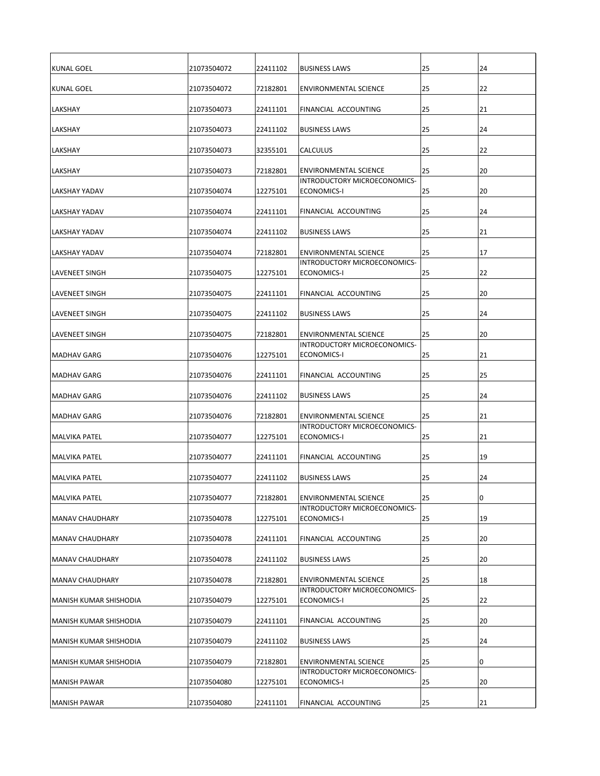| <b>KUNAL GOEL</b>             | 21073504072 | 22411102 | <b>BUSINESS LAWS</b>                                                | 25 | 24 |
|-------------------------------|-------------|----------|---------------------------------------------------------------------|----|----|
| <b>KUNAL GOEL</b>             | 21073504072 | 72182801 | <b>ENVIRONMENTAL SCIENCE</b>                                        | 25 | 22 |
| <b>LAKSHAY</b>                | 21073504073 | 22411101 | <b>FINANCIAL ACCOUNTING</b>                                         | 25 | 21 |
| <b>LAKSHAY</b>                | 21073504073 | 22411102 | <b>BUSINESS LAWS</b>                                                | 25 | 24 |
| <b>LAKSHAY</b>                | 21073504073 | 32355101 | <b>CALCULUS</b>                                                     | 25 | 22 |
| <b>LAKSHAY</b>                | 21073504073 | 72182801 | <b>ENVIRONMENTAL SCIENCE</b><br><b>INTRODUCTORY MICROECONOMICS-</b> | 25 | 20 |
| LAKSHAY YADAV                 | 21073504074 | 12275101 | ECONOMICS-I                                                         | 25 | 20 |
| <b>LAKSHAY YADAV</b>          | 21073504074 | 22411101 | FINANCIAL ACCOUNTING                                                | 25 | 24 |
| <b>LAKSHAY YADAV</b>          | 21073504074 | 22411102 | <b>BUSINESS LAWS</b>                                                | 25 | 21 |
| <b>LAKSHAY YADAV</b>          | 21073504074 | 72182801 | <b>ENVIRONMENTAL SCIENCE</b><br>INTRODUCTORY MICROECONOMICS-        | 25 | 17 |
| <b>LAVENEET SINGH</b>         | 21073504075 | 12275101 | ECONOMICS-I                                                         | 25 | 22 |
| <b>LAVENEET SINGH</b>         | 21073504075 | 22411101 | FINANCIAL ACCOUNTING                                                | 25 | 20 |
| <b>LAVENEET SINGH</b>         | 21073504075 | 22411102 | <b>BUSINESS LAWS</b>                                                | 25 | 24 |
| <b>LAVENEET SINGH</b>         | 21073504075 | 72182801 | <b>ENVIRONMENTAL SCIENCE</b><br>IINTRODUCTORY MICROECONOMICS-       | 25 | 20 |
| MADHAV GARG                   | 21073504076 | 12275101 | ECONOMICS-I                                                         | 25 | 21 |
| <b>MADHAV GARG</b>            | 21073504076 | 22411101 | FINANCIAL ACCOUNTING                                                | 25 | 25 |
| MADHAV GARG                   | 21073504076 | 22411102 | <b>BUSINESS LAWS</b>                                                | 25 | 24 |
| MADHAV GARG                   | 21073504076 | 72182801 | <b>ENVIRONMENTAL SCIENCE</b><br>INTRODUCTORY MICROECONOMICS-        | 25 | 21 |
| IMALVIKA PATEL                | 21073504077 | 12275101 | <b>ECONOMICS-I</b>                                                  | 25 | 21 |
| IMALVIKA PATEL                | 21073504077 | 22411101 | FINANCIAL ACCOUNTING                                                | 25 | 19 |
| <b>MALVIKA PATEL</b>          | 21073504077 | 22411102 | <b>BUSINESS LAWS</b>                                                | 25 | 24 |
| <b>MALVIKA PATEL</b>          | 21073504077 | 72182801 | <b>ENVIRONMENTAL SCIENCE</b>                                        | 25 | 10 |
| MANAV CHAUDHARY               | 21073504078 | 12275101 | INTRODUCTORY MICROECONOMICS-<br>ECONOMICS-I                         | 25 | 19 |
| MANAV CHAUDHARY               | 21073504078 | 22411101 | FINANCIAL ACCOUNTING                                                | 25 | 20 |
| <b>MANAV CHAUDHARY</b>        | 21073504078 | 22411102 | <b>BUSINESS LAWS</b>                                                | 25 | 20 |
| <b>MANAV CHAUDHARY</b>        | 21073504078 | 72182801 | <b>ENVIRONMENTAL SCIENCE</b><br>INTRODUCTORY MICROECONOMICS-        | 25 | 18 |
| MANISH KUMAR SHISHODIA        | 21073504079 | 12275101 | ECONOMICS-I                                                         | 25 | 22 |
| <b>MANISH KUMAR SHISHODIA</b> | 21073504079 | 22411101 | FINANCIAL ACCOUNTING                                                | 25 | 20 |
| İMANISH KUMAR SHISHODIA       | 21073504079 | 22411102 | <b>BUSINESS LAWS</b>                                                | 25 | 24 |
| İMANISH KUMAR SHISHODIA       | 21073504079 | 72182801 | <b>ENVIRONMENTAL SCIENCE</b><br>INTRODUCTORY MICROECONOMICS-        | 25 | 10 |
| MANISH PAWAR                  | 21073504080 | 12275101 | ECONOMICS-I                                                         | 25 | 20 |
| MANISH PAWAR                  | 21073504080 | 22411101 | <b>FINANCIAL ACCOUNTING</b>                                         | 25 | 21 |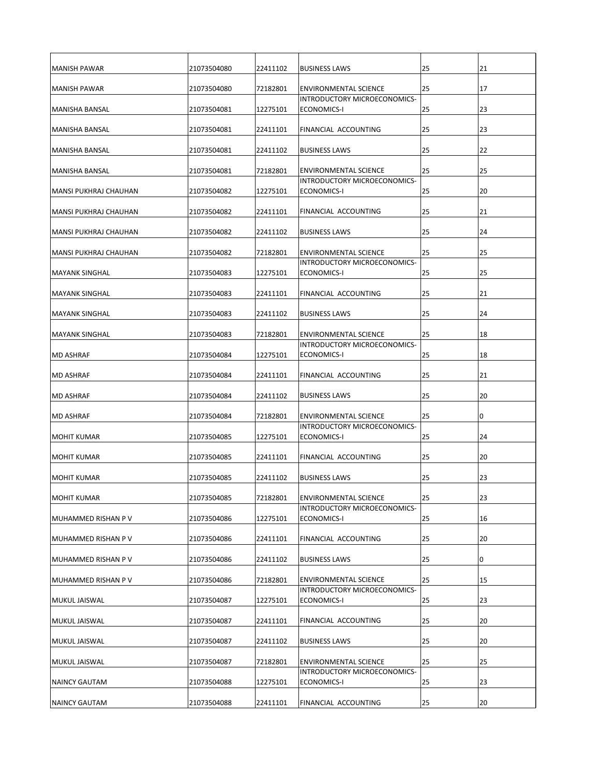| <b>MANISH PAWAR</b>        | 21073504080 | 22411102 | <b>BUSINESS LAWS</b>                                                | 25 | 21 |
|----------------------------|-------------|----------|---------------------------------------------------------------------|----|----|
| IMANISH PAWAR              | 21073504080 | 72182801 | <b>ENVIRONMENTAL SCIENCE</b>                                        | 25 | 17 |
| <b>MANISHA BANSAL</b>      | 21073504081 | 12275101 | INTRODUCTORY MICROECONOMICS-<br>ECONOMICS-I                         | 25 | 23 |
|                            |             |          |                                                                     |    |    |
| MANISHA BANSAL             | 21073504081 | 22411101 | <b>FINANCIAL ACCOUNTING</b>                                         | 25 | 23 |
| MANISHA BANSAL             | 21073504081 | 22411102 | <b>BUSINESS LAWS</b>                                                | 25 | 22 |
| <b>MANISHA BANSAL</b>      | 21073504081 | 72182801 | <b>ENVIRONMENTAL SCIENCE</b><br><b>INTRODUCTORY MICROECONOMICS-</b> | 25 | 25 |
| lMANSI PUKHRAJ CHAUHAN     | 21073504082 | 12275101 | ECONOMICS-I                                                         | 25 | 20 |
| MANSI PUKHRAJ CHAUHAN      | 21073504082 | 22411101 | <b>FINANCIAL ACCOUNTING</b>                                         | 25 | 21 |
| MANSI PUKHRAJ CHAUHAN      | 21073504082 | 22411102 | <b>BUSINESS LAWS</b>                                                | 25 | 24 |
| MANSI PUKHRAJ CHAUHAN      | 21073504082 | 72182801 | <b>ENVIRONMENTAL SCIENCE</b><br>INTRODUCTORY MICROECONOMICS-        | 25 | 25 |
| <b>MAYANK SINGHAL</b>      | 21073504083 | 12275101 | ECONOMICS-I                                                         | 25 | 25 |
| <b>MAYANK SINGHAL</b>      | 21073504083 | 22411101 | FINANCIAL ACCOUNTING                                                | 25 | 21 |
| <b>MAYANK SINGHAL</b>      | 21073504083 | 22411102 | <b>BUSINESS LAWS</b>                                                | 25 | 24 |
| <b>MAYANK SINGHAL</b>      | 21073504083 | 72182801 | <b>ENVIRONMENTAL SCIENCE</b><br>IINTRODUCTORY MICROECONOMICS-       | 25 | 18 |
| <b>IMD ASHRAF</b>          | 21073504084 | 12275101 | ECONOMICS-I                                                         | 25 | 18 |
| <b>MD ASHRAF</b>           | 21073504084 | 22411101 | FINANCIAL ACCOUNTING                                                | 25 | 21 |
| <b>IMD ASHRAF</b>          | 21073504084 | 22411102 | <b>BUSINESS LAWS</b>                                                | 25 | 20 |
| <b>IMD ASHRAF</b>          | 21073504084 | 72182801 | <b>ENVIRONMENTAL SCIENCE</b><br><b>INTRODUCTORY MICROECONOMICS-</b> | 25 | 10 |
| <b>MOHIT KUMAR</b>         | 21073504085 | 12275101 | <b>ECONOMICS-I</b>                                                  | 25 | 24 |
| <b>MOHIT KUMAR</b>         | 21073504085 | 22411101 | FINANCIAL ACCOUNTING                                                | 25 | 20 |
| <b>MOHIT KUMAR</b>         | 21073504085 | 22411102 | <b>BUSINESS LAWS</b>                                                | 25 | 23 |
| <b>MOHIT KUMAR</b>         | 21073504085 | 72182801 | <b>ENVIRONMENTAL SCIENCE</b>                                        | 25 | 23 |
| MUHAMMED RISHAN P V        | 21073504086 | 12275101 | INTRODUCTORY MICROECONOMICS-<br>ECONOMICS-I                         | 25 | 16 |
| <b>MUHAMMED RISHAN P V</b> | 21073504086 | 22411101 | FINANCIAL ACCOUNTING                                                | 25 | 20 |
| MUHAMMED RISHAN P V        | 21073504086 | 22411102 | <b>BUSINESS LAWS</b>                                                | 25 | 10 |
| MUHAMMED RISHAN P V        | 21073504086 | 72182801 | <b>ENVIRONMENTAL SCIENCE</b>                                        | 25 | 15 |
| <b>IMUKUL JAISWAL</b>      | 21073504087 | 12275101 | INTRODUCTORY MICROECONOMICS-<br>ECONOMICS-I                         | 25 | 23 |
| MUKUL JAISWAL              | 21073504087 | 22411101 | FINANCIAL ACCOUNTING                                                | 25 | 20 |
| <b>IMUKUL JAISWAL</b>      | 21073504087 | 22411102 | <b>BUSINESS LAWS</b>                                                | 25 | 20 |
| MUKUL JAISWAL              | 21073504087 | 72182801 | <b>ENVIRONMENTAL SCIENCE</b><br>INTRODUCTORY MICROECONOMICS-        | 25 | 25 |
| <b>NAINCY GAUTAM</b>       | 21073504088 | 12275101 | <b>ECONOMICS-I</b>                                                  | 25 | 23 |
| NAINCY GAUTAM              | 21073504088 | 22411101 | <b>FINANCIAL ACCOUNTING</b>                                         | 25 | 20 |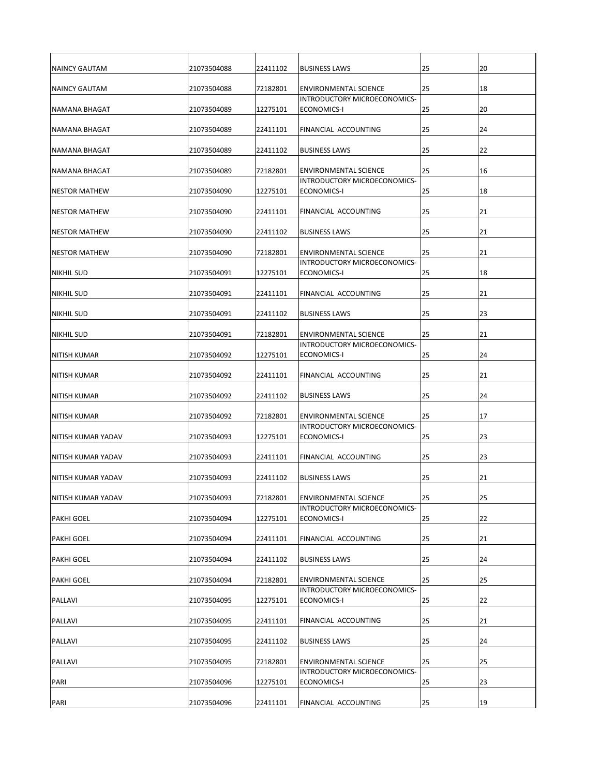| INAINCY GAUTAM        | 21073504088 | 22411102 | <b>BUSINESS LAWS</b>                                                | 25 | 20 |
|-----------------------|-------------|----------|---------------------------------------------------------------------|----|----|
| INAINCY GAUTAM        | 21073504088 | 72182801 | <b>ENVIRONMENTAL SCIENCE</b>                                        | 25 | 18 |
| NAMANA BHAGAT         | 21073504089 | 12275101 | INTRODUCTORY MICROECONOMICS-<br>ECONOMICS-I                         | 25 | 20 |
|                       |             |          |                                                                     |    |    |
| NAMANA BHAGAT         | 21073504089 | 22411101 | <b>FINANCIAL ACCOUNTING</b>                                         | 25 | 24 |
| INAMANA BHAGAT        | 21073504089 | 22411102 | <b>BUSINESS LAWS</b>                                                | 25 | 22 |
| <b>NAMANA BHAGAT</b>  | 21073504089 | 72182801 | <b>ENVIRONMENTAL SCIENCE</b><br><b>INTRODUCTORY MICROECONOMICS-</b> | 25 | 16 |
| <b>INESTOR MATHEW</b> | 21073504090 | 12275101 | ECONOMICS-I                                                         | 25 | 18 |
| <b>INESTOR MATHEW</b> | 21073504090 | 22411101 | <b>FINANCIAL ACCOUNTING</b>                                         | 25 | 21 |
| <b>INESTOR MATHEW</b> | 21073504090 | 22411102 | <b>BUSINESS LAWS</b>                                                | 25 | 21 |
| <b>NESTOR MATHEW</b>  | 21073504090 | 72182801 | <b>ENVIRONMENTAL SCIENCE</b>                                        | 25 | 21 |
|                       |             |          | INTRODUCTORY MICROECONOMICS-                                        |    |    |
| <b>NIKHIL SUD</b>     | 21073504091 | 12275101 | ECONOMICS-I                                                         | 25 | 18 |
| <b>NIKHIL SUD</b>     | 21073504091 | 22411101 | FINANCIAL ACCOUNTING                                                | 25 | 21 |
| <b>NIKHIL SUD</b>     | 21073504091 | 22411102 | <b>BUSINESS LAWS</b>                                                | 25 | 23 |
| <b>NIKHIL SUD</b>     | 21073504091 | 72182801 | <b>ENVIRONMENTAL SCIENCE</b>                                        | 25 | 21 |
| <b>NITISH KUMAR</b>   | 21073504092 | 12275101 | IINTRODUCTORY MICROECONOMICS-<br>ECONOMICS-I                        | 25 | 24 |
| <b>NITISH KUMAR</b>   | 21073504092 | 22411101 | <b>FINANCIAL ACCOUNTING</b>                                         | 25 | 21 |
| <b>NITISH KUMAR</b>   | 21073504092 | 22411102 | <b>BUSINESS LAWS</b>                                                | 25 | 24 |
| INITISH KUMAR         | 21073504092 | 72182801 | <b>ENVIRONMENTAL SCIENCE</b>                                        | 25 | 17 |
| NITISH KUMAR YADAV    | 21073504093 | 12275101 | INTRODUCTORY MICROECONOMICS-<br><b>ECONOMICS-I</b>                  | 25 | 23 |
| INITISH KUMAR YADAV   | 21073504093 | 22411101 | FINANCIAL ACCOUNTING                                                | 25 | 23 |
| NITISH KUMAR YADAV    | 21073504093 | 22411102 | <b>BUSINESS LAWS</b>                                                | 25 | 21 |
| INITISH KUMAR YADAV   | 21073504093 | 72182801 | <b>ENVIRONMENTAL SCIENCE</b>                                        | 25 | 25 |
| <b>PAKHI GOEL</b>     | 21073504094 | 12275101 | INTRODUCTORY MICROECONOMICS-<br>ECONOMICS-I                         | 25 | 22 |
| <b>PAKHI GOEL</b>     | 21073504094 | 22411101 | FINANCIAL ACCOUNTING                                                | 25 | 21 |
| <b>PAKHI GOEL</b>     | 21073504094 | 22411102 | <b>BUSINESS LAWS</b>                                                | 25 | 24 |
| <b>PAKHI GOEL</b>     | 21073504094 | 72182801 | <b>ENVIRONMENTAL SCIENCE</b>                                        | 25 | 25 |
| PALLAVI               | 21073504095 | 12275101 | INTRODUCTORY MICROECONOMICS-<br>ECONOMICS-I                         | 25 | 22 |
| PALLAVI               | 21073504095 | 22411101 | FINANCIAL ACCOUNTING                                                | 25 | 21 |
| PALLAVI               | 21073504095 | 22411102 | <b>BUSINESS LAWS</b>                                                | 25 | 24 |
| PALLAVI               | 21073504095 | 72182801 | <b>ENVIRONMENTAL SCIENCE</b>                                        | 25 | 25 |
| PARI                  | 21073504096 | 12275101 | INTRODUCTORY MICROECONOMICS-<br>ECONOMICS-I                         | 25 | 23 |
| PARI                  | 21073504096 | 22411101 | <b>FINANCIAL ACCOUNTING</b>                                         | 25 | 19 |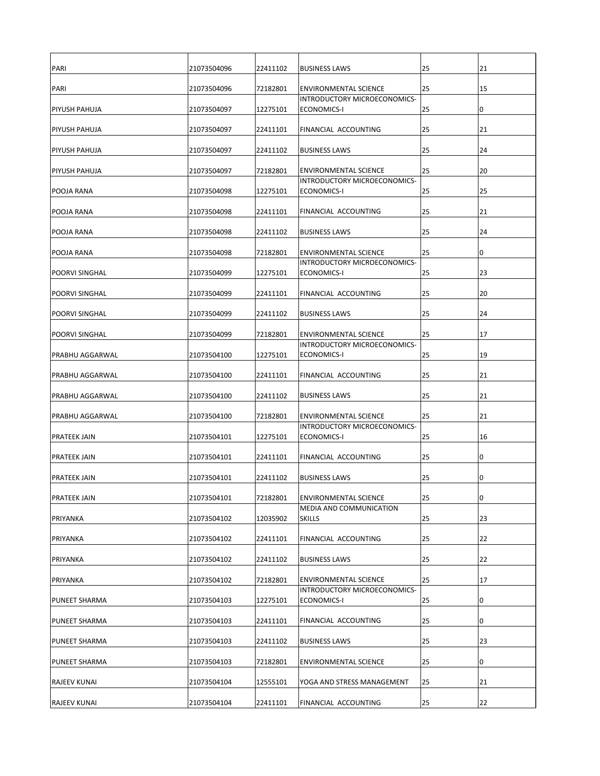| PARI                   | 21073504096 | 22411102 | <b>BUSINESS LAWS</b>                                                | 25 | 21 |
|------------------------|-------------|----------|---------------------------------------------------------------------|----|----|
| PARI                   | 21073504096 | 72182801 | <b>ENVIRONMENTAL SCIENCE</b>                                        | 25 | 15 |
| <b>PIYUSH PAHUJA</b>   | 21073504097 | 12275101 | INTRODUCTORY MICROECONOMICS-<br>ECONOMICS-I                         | 25 |    |
|                        |             |          |                                                                     |    | 10 |
| <b>PIYUSH PAHUJA</b>   | 21073504097 | 22411101 | <b>FINANCIAL ACCOUNTING</b>                                         | 25 | 21 |
| <b>PIYUSH PAHUJA</b>   | 21073504097 | 22411102 | <b>BUSINESS LAWS</b>                                                | 25 | 24 |
| <b>PIYUSH PAHUJA</b>   | 21073504097 | 72182801 | <b>ENVIRONMENTAL SCIENCE</b><br><b>INTRODUCTORY MICROECONOMICS-</b> | 25 | 20 |
| <b>POOJA RANA</b>      | 21073504098 | 12275101 | ECONOMICS-I                                                         | 25 | 25 |
| <b>POOJA RANA</b>      | 21073504098 | 22411101 | FINANCIAL ACCOUNTING                                                | 25 | 21 |
| <b>POOJA RANA</b>      | 21073504098 | 22411102 | <b>BUSINESS LAWS</b>                                                | 25 | 24 |
| <b>POOJA RANA</b>      | 21073504098 | 72182801 | <b>ENVIRONMENTAL SCIENCE</b>                                        | 25 | 10 |
|                        |             |          | INTRODUCTORY MICROECONOMICS-                                        |    |    |
| <b>POORVI SINGHAL</b>  | 21073504099 | 12275101 | ECONOMICS-I                                                         | 25 | 23 |
| <b>POORVI SINGHAL</b>  | 21073504099 | 22411101 | FINANCIAL ACCOUNTING                                                | 25 | 20 |
| <b>POORVI SINGHAL</b>  | 21073504099 | 22411102 | <b>BUSINESS LAWS</b>                                                | 25 | 24 |
| <b>POORVI SINGHAL</b>  | 21073504099 | 72182801 | <b>ENVIRONMENTAL SCIENCE</b><br>INTRODUCTORY MICROECONOMICS-        | 25 | 17 |
| PRABHU AGGARWAL        | 21073504100 | 12275101 | ECONOMICS-I                                                         | 25 | 19 |
| <b>PRABHU AGGARWAL</b> | 21073504100 | 22411101 | <b>FINANCIAL ACCOUNTING</b>                                         | 25 | 21 |
| <b>PRABHU AGGARWAL</b> | 21073504100 | 22411102 | <b>BUSINESS LAWS</b>                                                | 25 | 21 |
| IPRABHU AGGARWAL       | 21073504100 | 72182801 | <b>ENVIRONMENTAL SCIENCE</b>                                        | 25 | 21 |
| <b>PRATEEK JAIN</b>    | 21073504101 | 12275101 | INTRODUCTORY MICROECONOMICS-<br>ECONOMICS-I                         | 25 | 16 |
| PRATEEK JAIN           | 21073504101 | 22411101 | <b>FINANCIAL ACCOUNTING</b>                                         | 25 | 10 |
| <b>PRATEEK JAIN</b>    | 21073504101 | 22411102 | <b>BUSINESS LAWS</b>                                                | 25 | 10 |
| <b>PRATEEK JAIN</b>    | 21073504101 | 72182801 | <b>ENVIRONMENTAL SCIENCE</b>                                        | 25 | 10 |
|                        |             |          | MEDIA AND COMMUNICATION                                             |    |    |
| PRIYANKA               | 21073504102 | 12035902 | <b>SKILLS</b>                                                       | 25 | 23 |
| <b>PRIYANKA</b>        | 21073504102 | 22411101 | <b>FINANCIAL ACCOUNTING</b>                                         | 25 | 22 |
| PRIYANKA               | 21073504102 | 22411102 | <b>BUSINESS LAWS</b>                                                | 25 | 22 |
| PRIYANKA               | 21073504102 | 72182801 | <b>ENVIRONMENTAL SCIENCE</b><br>INTRODUCTORY MICROECONOMICS-        | 25 | 17 |
| <b>PUNEET SHARMA</b>   | 21073504103 | 12275101 | ECONOMICS-I                                                         | 25 | 10 |
| <b>PUNEET SHARMA</b>   | 21073504103 | 22411101 | FINANCIAL ACCOUNTING                                                | 25 | 10 |
| <b>PUNEET SHARMA</b>   | 21073504103 | 22411102 | <b>BUSINESS LAWS</b>                                                | 25 | 23 |
| <b>PUNEET SHARMA</b>   | 21073504103 | 72182801 | <b>ENVIRONMENTAL SCIENCE</b>                                        | 25 | 10 |
| <b>RAJEEV KUNAI</b>    | 21073504104 | 12555101 | YOGA AND STRESS MANAGEMENT                                          | 25 | 21 |
| <b>RAJEEV KUNAI</b>    | 21073504104 | 22411101 | <b>FINANCIAL ACCOUNTING</b>                                         | 25 | 22 |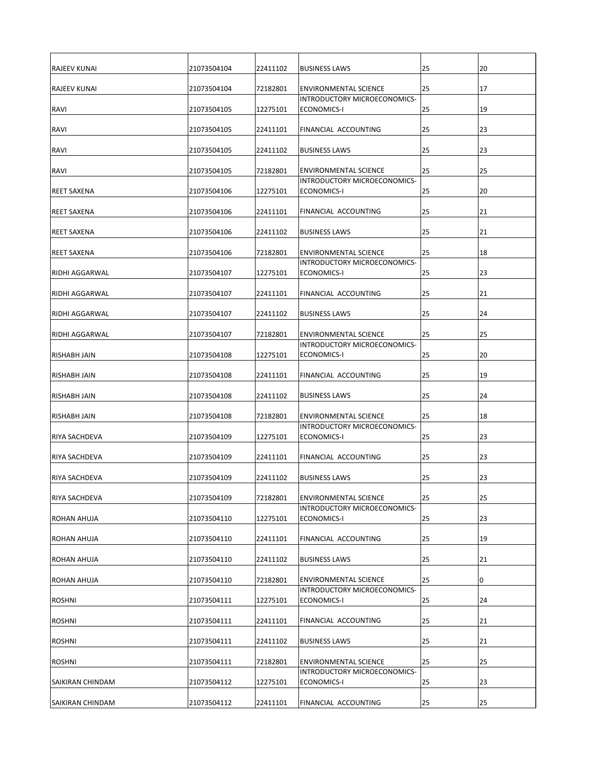| <b>RAJEEV KUNAI</b>   | 21073504104 | 22411102 | <b>BUSINESS LAWS</b>                                                | 25 | 20 |
|-----------------------|-------------|----------|---------------------------------------------------------------------|----|----|
| <b>RAJEEV KUNAI</b>   | 21073504104 | 72182801 | <b>ENVIRONMENTAL SCIENCE</b>                                        | 25 | 17 |
| RAVI                  | 21073504105 | 12275101 | INTRODUCTORY MICROECONOMICS-<br>ECONOMICS-I                         | 25 | 19 |
| <b>RAVI</b>           | 21073504105 | 22411101 | <b>FINANCIAL ACCOUNTING</b>                                         | 25 | 23 |
| <b>RAVI</b>           | 21073504105 | 22411102 | <b>BUSINESS LAWS</b>                                                | 25 | 23 |
| <b>RAVI</b>           | 21073504105 | 72182801 | <b>ENVIRONMENTAL SCIENCE</b><br><b>INTRODUCTORY MICROECONOMICS-</b> | 25 | 25 |
| <b>REET SAXENA</b>    | 21073504106 | 12275101 | ECONOMICS-I                                                         | 25 | 20 |
| <b>REET SAXENA</b>    | 21073504106 | 22411101 | <b>FINANCIAL ACCOUNTING</b>                                         | 25 | 21 |
| <b>REET SAXENA</b>    | 21073504106 | 22411102 | <b>BUSINESS LAWS</b>                                                | 25 | 21 |
| <b>REET SAXENA</b>    | 21073504106 | 72182801 | <b>ENVIRONMENTAL SCIENCE</b><br>INTRODUCTORY MICROECONOMICS-        | 25 | 18 |
| <b>RIDHI AGGARWAL</b> | 21073504107 | 12275101 | ECONOMICS-I                                                         | 25 | 23 |
| <b>RIDHI AGGARWAL</b> | 21073504107 | 22411101 | FINANCIAL ACCOUNTING                                                | 25 | 21 |
| <b>RIDHI AGGARWAL</b> | 21073504107 | 22411102 | <b>BUSINESS LAWS</b>                                                | 25 | 24 |
| <b>RIDHI AGGARWAL</b> | 21073504107 | 72182801 | <b>ENVIRONMENTAL SCIENCE</b><br><b>INTRODUCTORY MICROECONOMICS-</b> | 25 | 25 |
| <b>RISHABH JAIN</b>   | 21073504108 | 12275101 | ECONOMICS-I                                                         | 25 | 20 |
| <b>RISHABH JAIN</b>   | 21073504108 | 22411101 | <b>FINANCIAL ACCOUNTING</b>                                         | 25 | 19 |
| <b>RISHABH JAIN</b>   | 21073504108 | 22411102 | <b>BUSINESS LAWS</b>                                                | 25 | 24 |
| RISHABH JAIN          | 21073504108 | 72182801 | <b>ENVIRONMENTAL SCIENCE</b><br>INTRODUCTORY MICROECONOMICS-        | 25 | 18 |
| <b>RIYA SACHDEVA</b>  | 21073504109 | 12275101 | <b>ECONOMICS-I</b>                                                  | 25 | 23 |
| <b>RIYA SACHDEVA</b>  | 21073504109 | 22411101 | FINANCIAL ACCOUNTING                                                | 25 | 23 |
| <b>RIYA SACHDEVA</b>  | 21073504109 | 22411102 | <b>BUSINESS LAWS</b>                                                | 25 | 23 |
| <b>RIYA SACHDEVA</b>  | 21073504109 | 72182801 | <b>ENVIRONMENTAL SCIENCE</b>                                        | 25 | 25 |
| <b>ROHAN AHUJA</b>    | 21073504110 | 12275101 | INTRODUCTORY MICROECONOMICS-<br>ECONOMICS-I                         | 25 | 23 |
| <b>ROHAN AHUJA</b>    | 21073504110 | 22411101 | <b>FINANCIAL ACCOUNTING</b>                                         | 25 | 19 |
| <b>ROHAN AHUJA</b>    | 21073504110 | 22411102 | <b>BUSINESS LAWS</b>                                                | 25 | 21 |
| <b>ROHAN AHUJA</b>    | 21073504110 | 72182801 | <b>ENVIRONMENTAL SCIENCE</b><br>INTRODUCTORY MICROECONOMICS-        | 25 | 10 |
| <b>ROSHNI</b>         | 21073504111 | 12275101 | ECONOMICS-I                                                         | 25 | 24 |
| <b>ROSHNI</b>         | 21073504111 | 22411101 | FINANCIAL ACCOUNTING                                                | 25 | 21 |
| <b>ROSHNI</b>         | 21073504111 | 22411102 | <b>BUSINESS LAWS</b>                                                | 25 | 21 |
| <b>ROSHNI</b>         | 21073504111 | 72182801 | <b>ENVIRONMENTAL SCIENCE</b><br>INTRODUCTORY MICROECONOMICS-        | 25 | 25 |
| SAIKIRAN CHINDAM      | 21073504112 | 12275101 | ECONOMICS-I                                                         | 25 | 23 |
| SAIKIRAN CHINDAM      | 21073504112 | 22411101 | <b>FINANCIAL ACCOUNTING</b>                                         | 25 | 25 |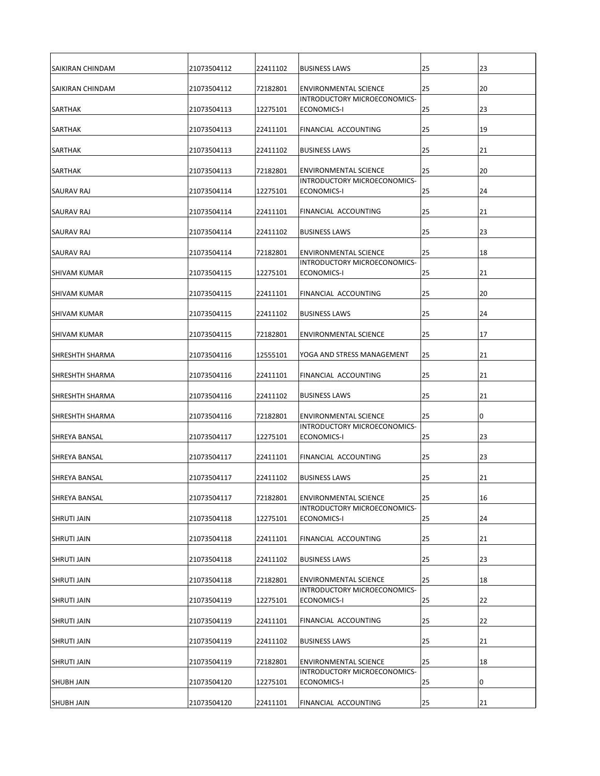| <b>SAIKIRAN CHINDAM</b> | 21073504112 | 22411102 | <b>BUSINESS LAWS</b>                                                | 25 | 23 |
|-------------------------|-------------|----------|---------------------------------------------------------------------|----|----|
| ISAIKIRAN CHINDAM       | 21073504112 | 72182801 | <b>ENVIRONMENTAL SCIENCE</b>                                        | 25 | 20 |
| <b>SARTHAK</b>          | 21073504113 | 12275101 | INTRODUCTORY MICROECONOMICS-<br>ECONOMICS-I                         | 25 | 23 |
| <b>SARTHAK</b>          | 21073504113 | 22411101 | <b>FINANCIAL ACCOUNTING</b>                                         | 25 | 19 |
| <b>SARTHAK</b>          | 21073504113 | 22411102 | <b>BUSINESS LAWS</b>                                                | 25 | 21 |
| <b>SARTHAK</b>          | 21073504113 | 72182801 | <b>ENVIRONMENTAL SCIENCE</b><br><b>INTRODUCTORY MICROECONOMICS-</b> | 25 | 20 |
| <b>SAURAV RAJ</b>       | 21073504114 | 12275101 | ECONOMICS-I                                                         | 25 | 24 |
| <b>SAURAV RAJ</b>       | 21073504114 | 22411101 | <b>FINANCIAL ACCOUNTING</b>                                         | 25 | 21 |
| <b>SAURAV RAJ</b>       | 21073504114 | 22411102 | <b>BUSINESS LAWS</b>                                                | 25 | 23 |
| <b>SAURAV RAJ</b>       | 21073504114 | 72182801 | <b>ENVIRONMENTAL SCIENCE</b>                                        | 25 | 18 |
| <b>SHIVAM KUMAR</b>     | 21073504115 | 12275101 | INTRODUCTORY MICROECONOMICS-<br>ECONOMICS-I                         | 25 | 21 |
| <b>SHIVAM KUMAR</b>     | 21073504115 | 22411101 | FINANCIAL ACCOUNTING                                                | 25 | 20 |
| <b>SHIVAM KUMAR</b>     | 21073504115 | 22411102 | <b>BUSINESS LAWS</b>                                                | 25 | 24 |
| <b>SHIVAM KUMAR</b>     | 21073504115 | 72182801 | <b>ENVIRONMENTAL SCIENCE</b>                                        | 25 | 17 |
| <b>SHRESHTH SHARMA</b>  | 21073504116 | 12555101 | YOGA AND STRESS MANAGEMENT                                          | 25 | 21 |
| <b>SHRESHTH SHARMA</b>  | 21073504116 | 22411101 | <b>FINANCIAL ACCOUNTING</b>                                         | 25 | 21 |
| <b>SHRESHTH SHARMA</b>  | 21073504116 | 22411102 | <b>BUSINESS LAWS</b>                                                | 25 | 21 |
| <b>SHRESHTH SHARMA</b>  | 21073504116 | 72182801 | <b>ENVIRONMENTAL SCIENCE</b><br><b>INTRODUCTORY MICROECONOMICS-</b> | 25 | 10 |
| <b>SHREYA BANSAL</b>    | 21073504117 | 12275101 | <b>ECONOMICS-I</b>                                                  | 25 | 23 |
| ISHREYA BANSAL          | 21073504117 | 22411101 | FINANCIAL ACCOUNTING                                                | 25 | 23 |
| <b>SHREYA BANSAL</b>    | 21073504117 | 22411102 | <b>BUSINESS LAWS</b>                                                | 25 | 21 |
| <b>SHREYA BANSAL</b>    | 21073504117 | 72182801 | <b>ENVIRONMENTAL SCIENCE</b>                                        | 25 | 16 |
| <b>SHRUTI JAIN</b>      | 21073504118 | 12275101 | INTRODUCTORY MICROECONOMICS-<br>ECONOMICS-I                         | 25 | 24 |
| <b>SHRUTI JAIN</b>      | 21073504118 | 22411101 | FINANCIAL ACCOUNTING                                                | 25 | 21 |
| <b>SHRUTI JAIN</b>      | 21073504118 | 22411102 | <b>BUSINESS LAWS</b>                                                | 25 | 23 |
| <b>SHRUTI JAIN</b>      | 21073504118 | 72182801 | <b>ENVIRONMENTAL SCIENCE</b><br>INTRODUCTORY MICROECONOMICS-        | 25 | 18 |
| <b>SHRUTI JAIN</b>      | 21073504119 | 12275101 | ECONOMICS-I                                                         | 25 | 22 |
| <b>SHRUTI JAIN</b>      | 21073504119 | 22411101 | FINANCIAL ACCOUNTING                                                | 25 | 22 |
| <b>SHRUTI JAIN</b>      | 21073504119 | 22411102 | <b>BUSINESS LAWS</b>                                                | 25 | 21 |
| <b>SHRUTI JAIN</b>      | 21073504119 | 72182801 | <b>ENVIRONMENTAL SCIENCE</b><br>INTRODUCTORY MICROECONOMICS-        | 25 | 18 |
| <b>SHUBH JAIN</b>       | 21073504120 | 12275101 | ECONOMICS-I                                                         | 25 | ΙO |
| <b>SHUBH JAIN</b>       | 21073504120 | 22411101 | <b>FINANCIAL ACCOUNTING</b>                                         | 25 | 21 |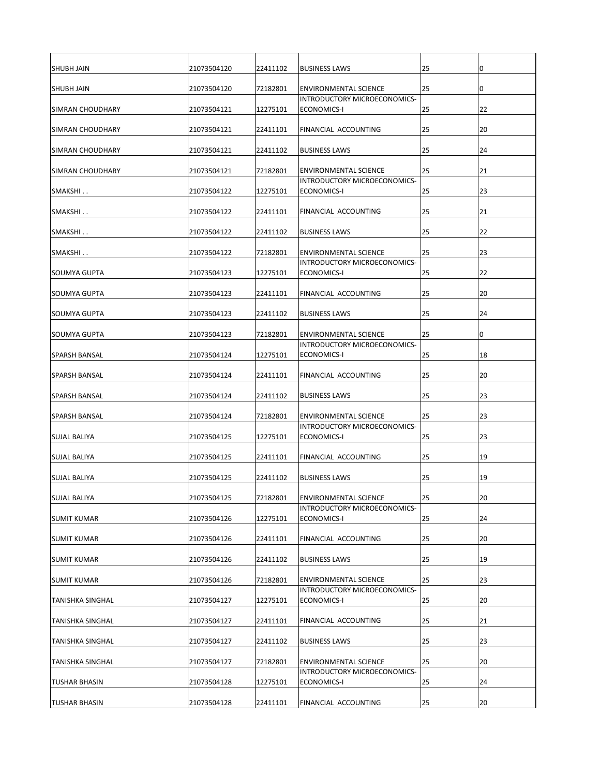| <b>SHUBH JAIN</b>       | 21073504120 | 22411102 | <b>BUSINESS LAWS</b>                                                | 25 | 10 |
|-------------------------|-------------|----------|---------------------------------------------------------------------|----|----|
| ISHUBH JAIN             | 21073504120 | 72182801 | <b>ENVIRONMENTAL SCIENCE</b>                                        | 25 | 10 |
| <b>SIMRAN CHOUDHARY</b> | 21073504121 | 12275101 | INTRODUCTORY MICROECONOMICS-<br>ECONOMICS-I                         | 25 | 22 |
|                         |             |          |                                                                     |    |    |
| <b>SIMRAN CHOUDHARY</b> | 21073504121 | 22411101 | <b>FINANCIAL ACCOUNTING</b>                                         | 25 | 20 |
| <b>SIMRAN CHOUDHARY</b> | 21073504121 | 22411102 | <b>BUSINESS LAWS</b>                                                | 25 | 24 |
| <b>SIMRAN CHOUDHARY</b> | 21073504121 | 72182801 | <b>ENVIRONMENTAL SCIENCE</b><br><b>INTRODUCTORY MICROECONOMICS-</b> | 25 | 21 |
| SMAKSHI                 | 21073504122 | 12275101 | ECONOMICS-I                                                         | 25 | 23 |
| SMAKSHI                 | 21073504122 | 22411101 | <b>FINANCIAL ACCOUNTING</b>                                         | 25 | 21 |
| SMAKSHI                 | 21073504122 | 22411102 | <b>BUSINESS LAWS</b>                                                | 25 | 22 |
| SMAKSHI                 | 21073504122 | 72182801 | <b>ENVIRONMENTAL SCIENCE</b>                                        | 25 | 23 |
|                         |             |          | INTRODUCTORY MICROECONOMICS-                                        |    |    |
| <b>I</b> SOUMYA GUPTA   | 21073504123 | 12275101 | ECONOMICS-I                                                         | 25 | 22 |
| <b>SOUMYA GUPTA</b>     | 21073504123 | 22411101 | FINANCIAL ACCOUNTING                                                | 25 | 20 |
| SOUMYA GUPTA            | 21073504123 | 22411102 | <b>BUSINESS LAWS</b>                                                | 25 | 24 |
| <b>SOUMYA GUPTA</b>     | 21073504123 | 72182801 | <b>ENVIRONMENTAL SCIENCE</b><br>INTRODUCTORY MICROECONOMICS-        | 25 | 0  |
| <b>SPARSH BANSAL</b>    | 21073504124 | 12275101 | ECONOMICS-I                                                         | 25 | 18 |
| <b>SPARSH BANSAL</b>    | 21073504124 | 22411101 | <b>FINANCIAL ACCOUNTING</b>                                         | 25 | 20 |
| <b>SPARSH BANSAL</b>    | 21073504124 | 22411102 | <b>BUSINESS LAWS</b>                                                | 25 | 23 |
| <b>SPARSH BANSAL</b>    | 21073504124 | 72182801 | <b>ENVIRONMENTAL SCIENCE</b>                                        | 25 | 23 |
| <b>SUJAL BALIYA</b>     | 21073504125 | 12275101 | INTRODUCTORY MICROECONOMICS-<br><b>ECONOMICS-I</b>                  | 25 | 23 |
| <b>SUJAL BALIYA</b>     | 21073504125 | 22411101 | FINANCIAL ACCOUNTING                                                | 25 | 19 |
| <b>SUJAL BALIYA</b>     | 21073504125 | 22411102 | <b>BUSINESS LAWS</b>                                                | 25 | 19 |
| <b>SUJAL BALIYA</b>     | 21073504125 | 72182801 | <b>ENVIRONMENTAL SCIENCE</b>                                        | 25 | 20 |
| <b>SUMIT KUMAR</b>      | 21073504126 | 12275101 | INTRODUCTORY MICROECONOMICS-<br>ECONOMICS-I                         | 25 | 24 |
| <b>SUMIT KUMAR</b>      | 21073504126 | 22411101 | FINANCIAL ACCOUNTING                                                | 25 | 20 |
| <b>SUMIT KUMAR</b>      | 21073504126 | 22411102 | <b>BUSINESS LAWS</b>                                                | 25 | 19 |
| <b>SUMIT KUMAR</b>      | 21073504126 | 72182801 | <b>ENVIRONMENTAL SCIENCE</b>                                        | 25 | 23 |
| <b>TANISHKA SINGHAL</b> | 21073504127 | 12275101 | INTRODUCTORY MICROECONOMICS-<br>ECONOMICS-I                         | 25 | 20 |
|                         |             |          |                                                                     |    |    |
| <b>TANISHKA SINGHAL</b> | 21073504127 | 22411101 | FINANCIAL ACCOUNTING                                                | 25 | 21 |
| <b>TANISHKA SINGHAL</b> | 21073504127 | 22411102 | <b>BUSINESS LAWS</b>                                                | 25 | 23 |
| <b>TANISHKA SINGHAL</b> | 21073504127 | 72182801 | <b>ENVIRONMENTAL SCIENCE</b><br>INTRODUCTORY MICROECONOMICS-        | 25 | 20 |
| TUSHAR BHASIN           | 21073504128 | 12275101 | <b>ECONOMICS-I</b>                                                  | 25 | 24 |
| <b>TUSHAR BHASIN</b>    | 21073504128 | 22411101 | <b>FINANCIAL ACCOUNTING</b>                                         | 25 | 20 |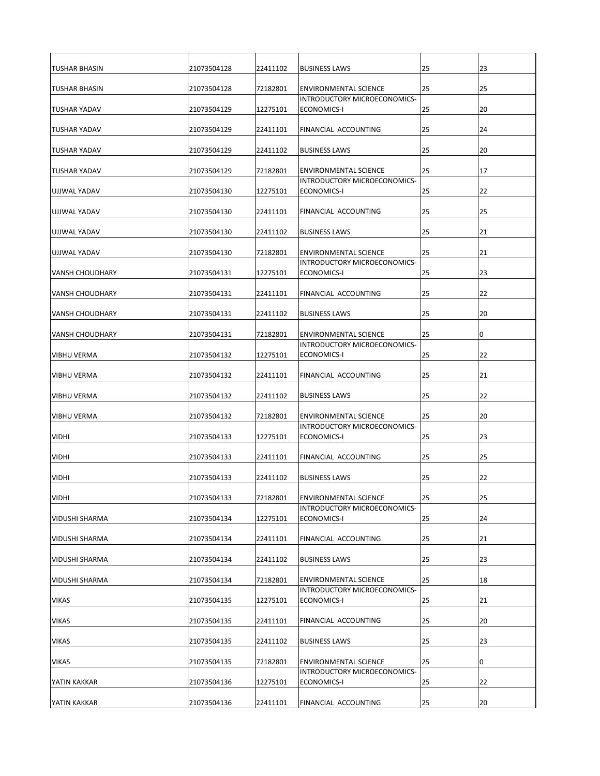| <b>TUSHAR BHASIN</b>   | 21073504128 | 22411102 | <b>BUSINESS LAWS</b>                                                | 25 | 23 |
|------------------------|-------------|----------|---------------------------------------------------------------------|----|----|
| <b>TUSHAR BHASIN</b>   | 21073504128 | 72182801 | <b>ENVIRONMENTAL SCIENCE</b>                                        | 25 | 25 |
| <b>TUSHAR YADAV</b>    | 21073504129 | 12275101 | INTRODUCTORY MICROECONOMICS-<br>ECONOMICS-I                         | 25 | 20 |
|                        |             |          |                                                                     |    |    |
| <b>TUSHAR YADAV</b>    | 21073504129 | 22411101 | <b>FINANCIAL ACCOUNTING</b>                                         | 25 | 24 |
| <b>TUSHAR YADAV</b>    | 21073504129 | 22411102 | <b>BUSINESS LAWS</b>                                                | 25 | 20 |
| <b>TUSHAR YADAV</b>    | 21073504129 | 72182801 | <b>ENVIRONMENTAL SCIENCE</b><br><b>INTRODUCTORY MICROECONOMICS-</b> | 25 | 17 |
| UJJWAL YADAV           | 21073504130 | 12275101 | ECONOMICS-I                                                         | 25 | 22 |
| <b>UJJWAL YADAV</b>    | 21073504130 | 22411101 | <b>FINANCIAL ACCOUNTING</b>                                         | 25 | 25 |
| UJJWAL YADAV           | 21073504130 | 22411102 | <b>BUSINESS LAWS</b>                                                | 25 | 21 |
| UJJWAL YADAV           | 21073504130 | 72182801 | <b>ENVIRONMENTAL SCIENCE</b>                                        | 25 | 21 |
| <b>VANSH CHOUDHARY</b> | 21073504131 | 12275101 | INTRODUCTORY MICROECONOMICS-<br>ECONOMICS-I                         | 25 | 23 |
| <b>VANSH CHOUDHARY</b> | 21073504131 | 22411101 | FINANCIAL ACCOUNTING                                                | 25 | 22 |
| <b>VANSH CHOUDHARY</b> | 21073504131 | 22411102 | <b>BUSINESS LAWS</b>                                                | 25 | 20 |
| <b>VANSH CHOUDHARY</b> | 21073504131 | 72182801 | <b>ENVIRONMENTAL SCIENCE</b>                                        | 25 | 0  |
| <b>VIBHU VERMA</b>     | 21073504132 | 12275101 | INTRODUCTORY MICROECONOMICS-<br>ECONOMICS-I                         | 25 | 22 |
| <b>VIBHU VERMA</b>     | 21073504132 | 22411101 | <b>FINANCIAL ACCOUNTING</b>                                         | 25 | 21 |
| <b>VIBHU VERMA</b>     | 21073504132 | 22411102 | <b>BUSINESS LAWS</b>                                                | 25 | 22 |
| <b>VIBHU VERMA</b>     | 21073504132 | 72182801 | <b>ENVIRONMENTAL SCIENCE</b>                                        | 25 | 20 |
| <b>VIDHI</b>           | 21073504133 | 12275101 | INTRODUCTORY MICROECONOMICS-<br>ECONOMICS-I                         | 25 | 23 |
| <b>VIDHI</b>           | 21073504133 | 22411101 | FINANCIAL ACCOUNTING                                                | 25 | 25 |
| <b>VIDHI</b>           | 21073504133 | 22411102 | <b>BUSINESS LAWS</b>                                                | 25 | 22 |
| <b>VIDHI</b>           | 21073504133 | 72182801 | <b>ENVIRONMENTAL SCIENCE</b>                                        | 25 | 25 |
| <b>VIDUSHI SHARMA</b>  | 21073504134 | 12275101 | INTRODUCTORY MICROECONOMICS-<br>ECONOMICS-I                         | 25 | 24 |
| <b>VIDUSHI SHARMA</b>  | 21073504134 | 22411101 | FINANCIAL ACCOUNTING                                                | 25 | 21 |
| <b>VIDUSHI SHARMA</b>  | 21073504134 | 22411102 | <b>BUSINESS LAWS</b>                                                | 25 | 23 |
| <b>VIDUSHI SHARMA</b>  | 21073504134 | 72182801 | <b>ENVIRONMENTAL SCIENCE</b>                                        | 25 | 18 |
| <b>VIKAS</b>           | 21073504135 | 12275101 | INTRODUCTORY MICROECONOMICS-<br>ECONOMICS-I                         | 25 | 21 |
| <b>VIKAS</b>           | 21073504135 | 22411101 | FINANCIAL ACCOUNTING                                                | 25 | 20 |
| <b>VIKAS</b>           | 21073504135 | 22411102 | <b>BUSINESS LAWS</b>                                                | 25 | 23 |
| <b>VIKAS</b>           | 21073504135 | 72182801 | <b>ENVIRONMENTAL SCIENCE</b>                                        | 25 | 10 |
| YATIN KAKKAR           | 21073504136 | 12275101 | INTRODUCTORY MICROECONOMICS-<br>ECONOMICS-I                         | 25 | 22 |
| YATIN KAKKAR           | 21073504136 | 22411101 | <b>FINANCIAL ACCOUNTING</b>                                         | 25 | 20 |